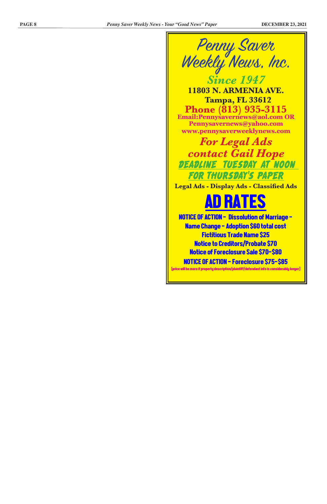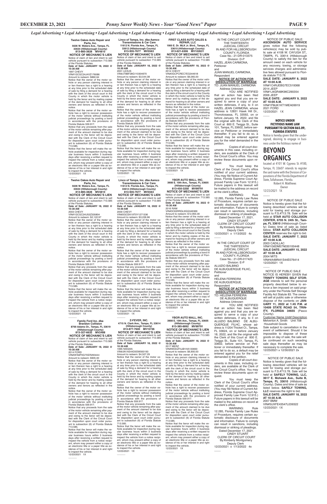NOTICE OF PUBLIC SALE: **ASCENSION AUTO SERVICE**  gives notice that the following vehicles(s) may be sold by public sale at 4108 W. CAYUGA ST., TAMPA, FL 33614 (Hillsborough County) to satisfy the lien for the amount owed on each vehicle for any recovery, towing, or storage services charges and administrative fees allowed pursuant to Florida statute 713.78.

**SALE DATE: JANUARY 8, 2022 AT 10:00 A.M.**

VIN#1C4RJEBG7EC519368 2014 JEEP

VIN#1J4GR48K96C290354 2006 JEEP

**SALE DATE: JANUARY 9, 2022 AT 10:00 A.M.** VIN#1FMJK1KT1MEA09919

2021 FORD 12/23/2021 1X

 $\overline{\phantom{a}}$ 

IN THE CIRCUIT COURT OF THE THIRTEENTH JUDICIAL CIRCUIT IN AND FOR HILLSBOROUGH COUNTY, FLORIDA Case No.: 21-DR-013375 Division: D-P HAZEL JEAN CARMONA, Petitioner

and JUAN MANUEL CARMONA, Respondent

**NOTICE OF ACTION FOR DISSOLUTION OF MARRIAGE** TO: JUAN MANUEL CARMONA

at the clerk's office.<br>WARNING: WARNING: Rule 12.285, Florida Family Law Rules

 $\overline{\phantom{a}}$ IN THE CIRCUIT COURT OF THE THIRTEENTH JUDICIAL CIRCUIT

 Address Unknown YOU ARE NOTIFIED that an action has been filed against you and that you are required to serve a copy of your written defenses, if any, to it on HAZEL JEAN CARMONA, whose address is 12831 Hawk Hill Dr., Thonotosassa, FL 33592, on or before January 18, 2022, and file the original with the Clerk of this Court at 800 E. Twiggs St., Suite 101, Tampa, FL 33602, before service on Petitioner or immediately thereafter. If you fail to do so, a default may be entered against you for the relief demanded in the petition.

YOU ARE NOTIFIED that an action has been filed against you and that you are required to serve a copy of your written defenses, if any, to it on ALUIZIO BALBINO DE ALBU-QUERQUE FILHC, whose address is 11204 Thicket Ct., Tampa, FL 33624, on or before January 18, 2022, and file the original with the Clerk of this Court at 800 E. Twiggs St., Suite 101, Tampa, FL 33602, before service on Petitioner or immediately thereafter. If you fail to do so, a default may be entered against you for the relief demanded in the petition.

Copies of all court documents in this case, including orders, are available at the Clerk of the Circuit Court's office. You may review these documents upon request.

You must keep the Clerk of the Circuit Court's office notified of your current address. (You may file Notice of Current Address, Florida Supreme Court Approved Family Law Form 12.915.) Future papers in this lawsuit will be mailed to the address on record

of Procedure, requires certain automatic disclosure of documents and information. Failure to comply can result in sanctions, including dismissal or striking of pleadings. Dated December 17, 2021. CINDY STUART CLERK OF CIRCUIT COURT By:Kimberly Montgomery

12/23/2021 1X  $\overline{\phantom{a}}$ 

 Deputy Clerk 12/23/2021 x 1/13/2022 4x

> 12/23/2021 1X  $\overline{\phantom{a}}$

IN AND FOR HILLSBOROUGH COUNTY, FLORIDA Case No.: 21-DR-017423 Division: E-P

ALUIZIO BALBINO DE ALBUQUERQUE FILHC, Petitioner

and HELENA FERREIRA DE ALBUQUERQUE,

Respondent **NOTICE OF ACTION FOR DISSOLUTION OF MARRIAGE** TO: HELENA FERREIRA

 DE ALBUQUERQUE Address Unknown

> suant to F.S. #713.78. Sale will be held at **SAFELY TOWING, LLC, 3617 E. Mohawk Ave., Suite B, Tampa, FL 33610** (Hillsborough County). Dates and time of sale as listed below. **SAFELY TOWING, LLC** reserves the right to bid. **SALE DATE: JANUARY 18, 2022 AT 10:30 A.M.** 2007 BMW VIN#5UXFE43547L039322 12/23/2021 1X

Copies of all court documents in this case, including orders, are available at the Clerk of the Circuit Court's office. You may

review these documents upon request.

You must keep the Clerk of the Circuit Court's office notified of your current address. (You may file Notice of Current Address, Florida Supreme Court Approved Family Law Form 12.915.) Future papers in this lawsuit will be mailed to the address on record at the clerk's office. WARNING: Rule

12.285, Florida Family Law Rules of Procedure, requires certain automatic disclosure of documents and information. Failure to comply can result in sanctions, including dismissal or striking of pleadings. Dated December 17, 2021. CINDY STUART CLERK OF CIRCUIT COURT By:Kimberly Montgomery Deputy Clerk 12/23/2021 x 1/13/2022 4x

 $\overline{\phantom{a}}$ 

#### **NOTICE UNDER FICTITIOUS NAME LAW PURSUANT TO SECTION 865.09, FLORIDA STATUTES**

Notice is hereby given that the undersigned, desiring to engage in business under the fictitious name of

## **BEYOND ORGANICS**

located at 4101 W. Cypress St. #100, Tampa, FL 33607 intends to register the said name with the Division of Corporations of the Florida Department of State, Tallahassee, Florida.

 Robert H. Matthews Owner

Notice that the lienor will make the vehicle available for inspection during regular business hours within 3 business days after receiving a written request to inspect the vehicle from a notice recipient, whom may present either a copy of an electronic title or a paper title as ev-<br>idence of his or her interest in and right<br>to inspect the vehicle.<br>12/23/2021 1X

 NOTICE OF PUBLIC SALE Notice is hereby given that the following described vehicles will be sold for towing and storage pursuant to F.S.#713.78. Sale will be held at **STAR AUTO COLLISION CENTER, 6705 N. 24th St., Tampa, FL 33610** (Hillsborough County) Dates time of sale as listed below. **STAR AUTO COLLISION CENTER** reserves the right to bid. **SALE DATE: JANUARY 7, 2022** 

**AT 10:00 A.M.** 2003 CADILLAC VIN#1G6DM57N030100448 **SALE DATE: JANUARY 15, 2022** 

**AT 10:00 A.M.** 2004 MITS

VIN#4A4MN41S44E076414

 NOTICE OF PUBLIC SALE NOTICE IS HEREBY GIVEN that **TRINITY TOWERS SELF STOR-AGE** intends to sell the personal property described below to enforce a lien imposed on said property under the Florida Self Storage Facility Act Statute 83. The owner will sell at public sale or otherwise dispose of the contents on **JAN-UARY 11, 2022 at 1:45 P.M. at 10409 STATE ROAD 54, TRIN-ITY, FLORIDA 34655** (Pasco

County).

 $\overline{\phantom{a}}$ 

 $\overline{\phantom{a}}$ 

Customer Name Unit# Description Melverton A. Smith Unit 708 Household Goods

Sale subject to cancellation in the event of settlement. Should it be impossible to dispose of these goods on day of sale, the sale will be continued on such seceding sale days thereafter as may be necessary to complete the sale. 12/23/2021 x 12/30/2021 2x

 NOTICE OF PUBLIC SALE Notice is hereby given that the following described vehicles will be sold for towing and storage pur-

**FIRST CLASS AUTO SALES &** 

**REPAIR, LLC 1900 E. Dr. MLK Jr. Blvd., Tampa, FL 33610 (Hillsborough County) 813-621-6306 MV102631 NOTICE OF MECHANIC'S LIEN**

Notice of claim of lien and intent to sell vehicle pursuant to subsection 713.585

of the Florida Statutes. **Date of Sale: JANUARY 18, 2022 @ 10:30 AM**

2014 CHEVY VIN#3GCPCREC7EG344618

Amount to redeem: \$6,065.00 Notice that the owner of the motor vehicle or any person claiming interest in or lien thereon has a right to a hearing at any time prior to the scheduled date of sale by filing a demand for a hearing with the clerk of the circuit court in the County in which the motor vehicle is held by the lienor and by mailing copies of the demand for hearing to all other owners and lienors as reflected in the notice.

Notice that the owner of the motor ve-hicle has a right to recover possession of the motor vehicle without instituting judicial proceedings by posting a bond in accordance with the provisions of Flori-da Statute 559.917.

#### $\overline{\phantom{a}}$ **Z-FEVER, INC. 4715 N. Clark Ave., Tampa, FL 33614 (Hillsborough County)**

Notice that any proceeds from the sale of the motor vehicle remaining after pay-ment of the amount claimed to be due and owing to the lienor will be depos-ited with the Clerk of the Circuit Court for disposition upon court order pursuant to subsection (6) of Florida Statute 713.585.

Notice that the lienor will make the vehicle available for inspection during regular business hours within 3 busine days after receiving a written request to inspect the vehicle from a notice recipient, whom may present either a copy of an electronic title or a paper title as evidence of his or her interest in and right to inspect the vehicle. 12/23/2021 1X

**YBOR AUTO MALL, INC. 3908 E. 10th Ave., Tampa, FL 33605 (Hillsborough County) 813-450-3258 MV99791** 

 $\overline{\phantom{a}}$ 

**NOTICE OF MECHANIC'S LIEN**<br>Notice of claim of lien and intent to sell Notice of claim of lien and intent to sell<br>vehicle pursuant to subsection 713.585<br>of the Florida Statutes.<br>**Date of Sale: JANUARY 18, 2022** @

**10:30 AM**

2016 RAM VIN#3C63RRGL9GG349369

Amount to redeem: \$12,955.00 Notice that the owner of the motor vehicle or any person claiming interest in or lien thereon has a right to a hearing at any time prior to the scheduled date of sale by filing a demand for a hearing with the clerk of the circuit court in the County in which the motor vehicle is held by the lienor and by mailing copies of the demand for hearing to all other owners and lienors as reflected in the notice.

or lien thereon has a right to a hearing<br>at any time prior to the scheduled date<br>of sale by filing a demand for a hearing<br>with the clerk of the circuit court in the<br>County in which the motor vehicle is<br>held by the lienor a of the demand for hearing to all other owners and lienors as reflected in the

> Notice that the owner of the motor ve-hicle has a right to recover possession of the motor vehicle without instituting judicial proceedings by posting a bond in accordance with the provisions of Flori-da Statute 559.917.

Notice that any proceeds from the sale of the motor vehicle remaining after pay-ment of the amount claimed to be due and owing to the lienor will be depos-ited with the Clerk of the Circuit Court for disposition upon court order pursuant to subsection (6) of Florida Statute 713.585.

**YBOR AUTO MALL, INC. 3908 E. 10th Ave., Tampa, FL 33605 (Hillsborough County) 813-385-8892 MV99791** 

 $\overline{\phantom{a}}$ 

#### **NOTICE OF MECHANIC'S LIEN** Notice of claim of lien and intent to sell

vehicle pursuant to subsection 713.585 of the Florida Statutes. **Date of Sale: JANUARY 18, 2022 @ 10:30 AM** 2017 MERZ

VIN#WDDZF4JB1HA133830 Amount to redeem: \$6,900.00 Notice that the owner of the motor vehicle or any person claiming interest in or lien thereon has a right to a hearing at any time prior to the scheduled date of sale by filing a demand for a hearing with the clerk of the circuit court in the

with the clerk of the circuit court in the County in which the motor vehicle is held by the lienor and by mailing copies of the demand for hearing to all other owners and lienors as reflected in the notice.<br>Notice that the owner of the motor ve-

County in which the motor vehicle is held by the lienor and by mailing copies of the demand for hearing to all other owners and lienors as reflected in the notice.

Notice that the owner of the motor vehicle has a right to recover possession of the motor vehicle without instituting judicial proceedings by posting a bond in accordance with the provisions of Florida Statute 559.917. Notice that any proceeds from the sale

of the motor vehicle remaining after payment of the amount claimed to be due and owing to the lienor will be depos-ited with the Clerk of the Circuit Court for disposition upon court order pursuant to subsection (6) of Florida Statute

713.585. Notice that the lienor will make the ve-hicle available for inspection during regular business hours within 3 business<br>days after receiving a written request to days after receiving a written request to inspect the vehicle from a notice recipient, whom may present either a copy of an electronic title or a paper title as evidence of his or her interest in and right to inspect the vehicle. 12/23/2021 1X

 $\overline{\phantom{a}}$ 

**Linco of Tampa, Inc. dba Aamco Transmissions & Car Care 11612 N. Florida Ave., Tampa, FL** 

**33612 (Hillsborough County) 813-935-7677 MV5563 NOTICE OF MECHANIC'S LIEN**

Notice of claim of lien and intent to sell vehicle pursuant to subsection 713.585 of the Florida Statutes. **Date of Sale: JANUARY 18, 2022 @** 

**10:30 AM** 2001 LEXUS

VIN#JT8BF28G110304670

Amount to redeem: \$3,544.38 Notice that the owner of the motor ve-

hicle or any person claiming interest in or lien thereon has a right to a hearing at any time prior to the scheduled date of sale by filing a demand for a hearing with the clerk of the circuit court in the County in which the motor vehicle is held by the lienor and by mailing copies of the demand for hearing to all other owners and lienors as reflected in the notice.

Notice that the owner of the motor vehicle has a right to recover possession of the motor vehicle without instituting judicial proceedings by posting a bond in accordance with the provisions of Florida Statute 559.917. Notice that any proceeds from the sale

of the motor vehicle remaining after pay-ment of the amount claimed to be due and owing to the lienor will be depos-ited with the Clerk of the Circuit Court for disposition upon court order pursuant to subsection (6) of Florida Statute

713.585. Notice that the lienor will make the vehicle available for inspection during reg-<br>ular business hours within 3 business<br>days after receiving a written request to<br>inspect the vehicle from a notice recipi-<br>ent, whom may present either a copy of an electronic title or a paper title as ev-idence of his or her interest in and right to inspect the vehicle. 12/23/2021 1X

\_\_\_\_\_\_ **Linco of Tampa, Inc. dba Aamco Transmissions & Car Care 11612 N. Florida Ave., Tampa, FL 33612 (Hillsborough County)**

**813-935-7677 MV5563 NOTICE OF MECHANIC'S LIEN**

Notice of claim of lien and intent to sell vehicle pursuant to subsection 713.585 of the Florida Statutes. **Date of Sale: JANUARY 18, 2022 @** 

**10:30 AM** 2000 CHEVY

VIN#2GCEK19T0Y1271336 Amount to redeem: \$3,226.96 Notice that the owner of the motor vehicle or any person claiming interest in or lien thereon has a right to a hearing at any time prior to the scheduled date of sale by filing a demand for a hearing with the clerk of the circuit court in the<br>County in which the motor vehicle is County in which the motor vehicle is held by the lienor and by mailing copies of the demand for hearing to all other owners and lienors as reflected in the notice.

Notice that the owner of the motor vehicle has a right to recover possession of the motor vehicle without instituting judicial proceedings by posting a bond in accordance with the provisions of Florida Statute 559.917. Notice that any proceeds from the sale

of the motor vehicle remaining after pay-ment of the amount claimed to be due and owing to the lienor will be depos-ited with the Clerk of the Circuit Court for disposition upon court order pursuant to subsection (6) of Florida Statute 713.585.

Notice that the lienor will make the vehicle available for inspection during regular business hours within 3 business days after receiving a written request to inspect the vehicle from a notice recipient, whom may present either a copy of an electronic title or a paper title as ev-idence of his or her interest in and right to inspect the vehicle. 12/23/2021 1X

#### **813-877-7600 MV15726 NOTICE OF MECHANIC'S LIEN**

Notice of claim of lien and intent to sell vehicle pursuant to subsection 713.585<br>of the Elorida Statutes of the Florida Statutes. **Date of Sale: JANUARY 18, 2022 @** 

**10:30 AM** 1995 NISSAN VIN#JN1AS44D5SW000193 Amount to redeem: \$4,507.29 Notice that the owner of the motor vehicle or any person claiming interest in or lien thereon has a right to a hearing at any time prior to the scheduled date of sale by filing a demand for a hearing

with the clerk of the circuit court in the County in which the motor vehicle is held by the lienor and by mailing copies of the demand for hearing to all other owners and lienors as reflected in the notice.

Notice that the owner of the motor vehicle has a right to recover possession of the motor vehicle without instituting judicial proceedings by posting a bond in accordance with the provisions of Florida Statute 559.917.

Notice that any proceeds from the sale of the motor vehicle remaining after pay-ment of the amount claimed to be due and owing to the lienor will be deposited with the Clerk of the Circuit Court for disposition upon court order pursuant to subsection (6) of Florida Statute 713.585.

Notice that the lienor will make the vehicle available for inspection during regular business hours within 3 business days after receiving a written request to inspect the vehicle from a notice recipient, whom may present either a copy of an electronic title or a paper title as ev-idence of his or her interest in and right to inspect the vehicle. 12/23/2021 1X

 $\overline{\phantom{a}}$ 

### **Twelve Oakes Auto Repair and Parts, Inc. 5636 W. Waters Ave., Tampa, FL**

**33634 (Hillsborough County) 813-885-3828 MV4810 NOTICE OF MECHANIC'S LIEN**

Notice of claim of lien and intent to sell vehicle pursuant to subsection 713.585 of the Florida Statutes.

**Date of Sale: JANUARY 18, 2022 @ 10:30 AM**

1997 CHEVY VIN#1GCGC24J4VZ176086

Amount to redeem: \$860.64 Notice that the owner of the motor ve-hicle or any person claiming interest in

notice. Notice that the owner of the motor vehicle has a right to recover possession of the motor vehicle without instituting judicial proceedings by posting a bond in accordance with the provisions of Florida Statute 559.917.

Notice that any proceeds from the sale of the motor vehicle remaining after payment of the amount claimed to be due and owing to the lienor will be depos-ited with the Clerk of the Circuit Court for disposition upon court order pursu-ant to subsection (6) of Florida Statute 713.585.

Notice that the lienor will make the vehicle available for inspection during reg-ular business hours within 3 business days after receiving a written request to inspect the vehicle from a notice recipient, whom may present either a copy of an electronic title or a paper title as evidence of his or her interest in and right to inspect the vehicle. 12/23/2021 1X

#### **Twelve Oakes Auto Repair and Parts, Inc.**

 $\overline{\phantom{a}}$ 

 **5636 W. Waters Ave., Tampa, FL 33634 (Hillsborough County) 813-885-3828 MV4810** 

**NOTICE OF MECHANIC'S LIEN** Notice of claim of lien and intent to sell vehicle pursuant to subsection 713.585 of the Florida Statutes.

**Date of Sale: JANUARY 18, 2022 @ 10:30 AM** 2003 CHEVY

VIN#1GCGC24U53Z335804 Amount to redeem: \$2,122.97 Notice that the owner of the motor ve-

hicle or any person claiming interest in or lien thereon has a right to a hearing at any time prior to the scheduled date of sale by filing a demand for a hearing with the clerk of the circuit court in the County in which the motor vehicle is held by the lienor and by mailing copies of the demand for hearing to all other owners and lienors as reflected in the notice.

Notice that the owner of the motor vehicle has a right to recover possession of the motor vehicle without instituting judicial proceedings by posting a bond in accordance with the provisions of Florida Statute 559.917. Notice that any proceeds from the sale

of the motor vehicle remaining after payment of the amount claimed to be due and owing to the lienor will be depos-ited with the Clerk of the Circuit Court for disposition upon court order pursuant to subsection (6) of Florida Statute 713.585.

Notice that the lienor will make the vehicle available for inspection during regular business hours within 3 business days after receiving a written request to inspect the vehicle from a notice recipient, whom may present either a copy of an electronic title or a paper title as ev-idence of his or her interest in and right to inspect the vehicle. 12/23/2021 1X

## **Family Ford Inc. dba Brandon Collision 8700 Adamo Dr., Tampa, FL 33619 (Hillsborough County) 813-327-6632 MV2488**

 $\overline{\phantom{a}}$ 

**NOTICE OF MECHANIC'S LIEN** Notice of claim of lien and intent to sell vehicle pursuant to subsection 713.585 of the Florida Statutes.

**Date of Sale: JANUARY 18, 2022 @ 10:30 AM** 2014 FORD

VIN#3FA6P0G7XER293444 Amount to redeem: \$905.00 Notice that the owner of the motor ve-

hicle or any person claiming interest in or lien thereon has a right to a hearing at any time prior to the scheduled date of sale by filing a demand for a hearing

Notice that the owner of the motor ve-hicle has a right to recover possession of the motor vehicle without instituting judicial proceedings by posting a bond in accordance with the provisions of Florida Statute 559.917.

Notice that any proceeds from the sale of the motor vehicle remaining after payment of the amount claimed to be due and owing to the lienor will be depos-ited with the Clerk of the Circuit Court for disposition upon court order pursu-ant to subsection (6) of Florida Statute 713.585.

Notice that the lienor will make the vehicle available for inspection during regular business hours within 3 business days after receiving a written request to inspect the vehicle from a notice recipient, whom may present either a copy of an electronic title or a paper title as evidence of his or her interest in and right to inspect the vehicle. 12/23/2021 1X

\_\_\_\_\_\_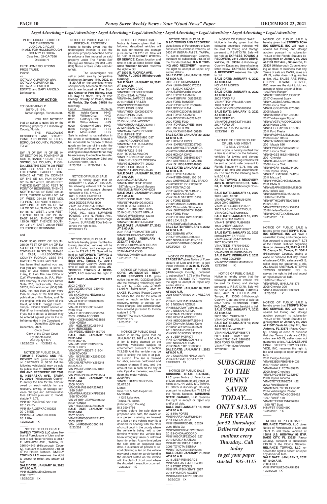NOTICE OF PUBLIC SALE is hereby given that **STEPP'S TOW-ING SERVICE, INC** will have a sealed bid towing and storage auction pursuant to subsection 713.78 of the Florida Statutes beginning **9am on January 05, 2022 at 6133 Cliff Ave., Gibsonton, FL 33534** (Hillsborough County), ending at close of business that day. Terms of sale are CASH, sales are AS IS, seller does not guarantee a title, ALL SALES ARE FINAL. STEPP'S TOWING SERVICE, INC. reserves the right to bid and accept or reject any/or all bids. 1993 Ford Ranger VIN#1FTCR10X2PUC38232 2017 Chevrolet Spark VIN#KL8CB6SA3HC750026 2008 Honda Civic VIN#2HGFG12668H570803 2005 Mazda 3 VIN#JM1BK12F851220000 2017 Volkswagen Tiguan VIN#WVGTV7AXXHK020903 2006 Honda Civic VIN#2HGFG12696H516635 2011 Ford Fiesta VIN#3FADP4EJ9BM223262 2006 Nissan Xterra VIN#5N1AN08UX6C545865 2001 Mazda 626 VIN#1YVGF22F315232410 2001 Honda Civic VIN#2HGES16521H581931 2001 Chrysler VIN#1C4GJ25321B190268 2008 Honda Civic VIN#1HGFA16828L044992 1996 Toyota Camry VIN#4T1BG12K8TU741255 2011 Mazda 6 VIN#1YVHZ8CHXB5M29235 2011 BMW 3 VIN#WBAPH5G59BNM73808 2007 Infiniti G35 VIN#JNKBV61EX7M725615 1996 Ford F-250 VIN#1FTHX26F5TEA78884 2012 DUTC VIN#47CTAES25CK131504 2018 Harley-Davidson VIN#1HD1KTC1XJB652066 12/23/2021 1X  $\overline{\phantom{a}}$ 

#### *Legal Advertising • Legal Advertising • Legal Advertising • Legal Advertising • Legal Advertising • Legal Advertising • Legal Advertising • Legal Advertising*

2011 Dodge Avenger VIN#1B3BD1FB6BN544036 2007 Nissan Altima VIN#1N4AL21E57N435925 2000 Jeep Cherokee VIN#1J4G248S8YC332567 2008 Toyota Tacoma VIN#5TETX22N68Z571422 2003 Ford Explorer VIN#1FMZU70E13UB05512 2014 Volkswagen Passat VIN#1VWAT7A3XEC052462 1997 Ford F-150 VIN#1FTEX18L7VNC57382 1990 FBT Boat HIN#FBT17083H990 12/23/2021 1X  $\overline{\phantom{a}}$ 

 NOTICE OF PUBLIC SALE Notice is hereby given that the following described vehicles will be sold for towing and storage pursuant to F.S.#713.78. Sale will be held at **EXPRESS TOWING & RECOVERY, 2116 Jelane DRIVE, Valrico, FL 33594** (Hillsborough County). Dates and time of sale as listed below. **EXPRESS TOWING & RECOVERY** reserves the right to bid. **SALE DATE: JANUARY 4, 2022 AT 8:00 A.M.** NO YEAR MOPED NO VIN# **SALE DATE: JANUARY 8, 2022 AT 8:00 A.M.** 2002 FORD PU VIN#1FTRX17W32NB79496 1998 CHEV 2D VIN#1G1YY22G8W5108954 **SALE DATE: JANUARY 10, 2022 AT 8:00 A.M.** 2003 MERZ 2D VIN#WDBLK65G63T141253 2007 FORD UT VIN#1FMFK15527LA72384 12/23/2021 1X  $\overline{\phantom{a}}$ 

> NOTICE OF PUBLIC SALE is hereby given that **STEPP'S TOW-ING SERVICE, INC** will have a sealed bid towing and storage auction pursuant to subsection 713.78 of the Florida Statutes beginning **9am on January 05, 2022 at 11607 Ossie Murphy Rd., San Antonio, FL 33576** (Pasco County), ending at close of busines that day. Terms of sale are CASH, sales are AS IS, seller does not guarantee a title, ALL SALES ARE FINAL. STEPP'S TOWING SER-VICE, INC. reserves the right to bid and accept or reject any/or all bids.

 $\overline{\phantom{a}}$ 

2016 TOYOTA COROLLA VIN#5YFBURHE8GP456443 **SALE DATE: FEBRUARY 2, 2022** 2021 MINI COOPER VIN#WMZ53BR0XM3M31560 12/23/2021 1X  $\overline{\phantom{a}}$ 

NOTICE OF PUBLIC SALE is hereby given that **STEPP'S TOW-ING SERVICE, INC** will have a sealed bid towing and storage auction pursuant to subsection 713.78 of the Florida Statutes beginning **9am on January 05, 2022 at 4214 W. Cayuga St., Tampa, FL 33614** (Hillsborough County), ending at close of business that day. Terms of sale are CASH, sales are AS IS, seller does not guarantee a title, ALL SALES ARE FINAL. STEPP'S TOWING SERVICE, INC. reserves the right to bid and accept or reject any/or all bids. 1988 Ford Bronco VIN#1FMEU15N4JLA81875 2006 Chrysler 300 VIN#2C3KA53G06H338924 12/23/2021 1X

 NOTICE OF PUBLIC SALE: **RELIANCE TOWING, LLC** gives Notice of Foreclosure of Lien and intent to sell these vehicles at **13849 U.S. HIGHWAY 98 BYP, DADE CITY, FL 33525** (Pasco County), pursuant to subsection 713.78 of the Florida Statutes. **RELIANCE TOWING, LLC** reserves the right to accept or reject any and/or all bids. **SALE DATE: JANUARY 7, 2022 AT 10:00 A.M.** 2006 FORD VIN#1FMYU02Z46KA51951 12/23/2021 1X

 $\overline{\phantom{a}}$ 

 $\overline{\phantom{a}}$ 

NOTICE OF PUBLIC **SUNSHINE STATE GARAGE, LLC** gives Notice of Foreclosure of Lien and intent to sell these vehicles at 407 N. 22ND ST., TAMPA FL 33605 (Hillsborough County), pursuant to subsection 713.78 of the Florida Statutes. **SUNSHINE STATE GARAGE, LLC** reserves the right to accept or reject any and/or all bids. **SALE DATE:JANUARY 18, 2022 AT 8:00 A.M.** 2015 KIA FORTE VIN#KNAFX4A83F5266364 2011 GMC ACADIA VIN#1GKKRRED4BJ135269 2007 BMW X3 VIN#WBXPC93437WF09750 2012 HONDA ACCORD VIN#1HGCP2F32CA051327 2010 MAZDA MAZDA3 VIN#JM1BL1SF8A1318113 2005 TOYOTA SIENNA VIN#5TDZA22C35S265586 **SALE DATE: JANUARY 21, 2022 AT 8:00 A.M.** 2018 JEEP RENEGADE VIN#ZACCJABB4JPH04938 2011 FORD FOCUS VIN#1FAHP3HN3BW116587 2015 HYUNDAI ACCENT VIN#KMHCT4AE7FU936507 12/23/2021 1X

 $\overline{\phantom{a}}$ 

 $\overline{\phantom{a}}$  NOTICE OF PUBLIC SALE: **TARGET R/T** gives Notice of Foreclosure of Lien and intent to sell these vehicles at **3745 N. FLOR-IDA AVE., TAMPA, FL 33603**  (Hillsborough County), pursuant to subsection 713.78 of the Florida Statutes. **TARGET R/T** reserves the right to accept or reject any and/or all bids. **SALE DATE: JANUARY 18, 2022** 

NOTICE OF FORECLOSURE OF LIEN AND INTENT TO SELL VEHICLE

**AT 8:00 A.M.** 2012 HONDA CIVIC VIN#19XFB2F58CE039840 2012 NISSAN ALTIMA VIN#1N4AL2AP7CC219260 2014 HMDE TRAILER VIN#NOVIN0201042590 2002 LEXUS IS 300 VIN#JTHBD192X20033970 2004 HONDA CIVIC VIN#2HGES15534H505060 2013 HYUNDAI ACCENT VIN#KMHCU4AE0DU334011 2012 NISSAN ALTIMA VIN#1N4AL2AP3CN558800 2011 INFINITI G37 VIN#JN1CV6FE5BM951037 1988 FORD AEROSTAR VIN#1FMCA11U3JZA41359 1980 DATS PICKUP VIN#HY720219198 2001 TOYOTA AVALON VIN#4T1BF28BX1U175581 1996 CHEVROLET CORSICA VIN#1G1LD55MXTY126293 2002 DODGE DAKOTA VIN#1B7HL48N02S558746 **SALE DATE: JANUARY 20, 2022 AT 8:00 A.M.** 2004 MAZDA MAZDA3 VIN#JM1BK12F041129690 1997 Mercury Grand Marquis VIN#2MELM75WXVX646208 **SALE DATE: JANUARY 21, 2022 AT 8:00 A.M.** 2002 DODGE RAM 1500 VIN#3B7HA18N42G100672 2009 TOYOTA COROLLA VIN#2T1BU40E09C150015 2010 CHEVROLET IMPALA VIN#2G1WB5EK0A1162348 2018 MERCEDES GLA VIN#WDCTG4GBXJJ424041 **SALE DATE: JANUARY 27, 2022 AT 8:00 A.M.** 2021 RAM PROMASTER CITY VIN#ZFBHRFAB5M6V30238 **SALE DATE: FEBRUARY 4, 2022 AT 8:00 A.M.** 2019 VOLKSWAGEN TIGUAN VIN#3VV3B7AX6KM027104 2020 MAZDA CX30 VIN#3MVDMAEM4LM135120 12/23/2021 1X  $\overline{\phantom{a}}$ 

NOTICE OF PUBLIC SALE:<br>CORE AUTOMOTIVE REC **AUTOMOTIVE RECY-CLING SERVICES LLC.** gives notice that on 01/10/2022 at 08:00 AM the following vehicles(s) may be sold by public sale at 3632 LAND O LAKES BLVD., LAND O' LAKES, FL 34639 (Pasco County) to satisfy the lien for the amount owed on each vehicle for any recovery, towing, or storage services charges and administrative fees allowed pursuant to Florida statute 713.78. VIN#1FTPW14V87KD06032 2007 FORD 12/23/2021 1X  $\overline{\phantom{a}}$ 

Each of you is hereby notified that a lien is claimed on the following vehicles for towing and storage charges, the following vehicles will be sold at public sale pursuant to Florida Statute #713.78, free and clear of all liens and encumbrances. The time for the following sales is 8:00 A.M. **AT RC TOWING & RECOVERY,** 

**4805 N. HESPERIDES ST., TAM-**PA, FL 33614 (Hillsborough County) **SALE DATE: JANUARY 14, 2022** 2015 JAGUAR XF VIN#SAJWA0F73F8U64276 2006 GMC SIERRA VIN#1GTHC24U86E203751 2002 BUICK RENDEZVOUS VIN#3G5DA03E72506532 **SALE DATE: JANUARY 18, 2022** 2015 TOYOTA CAMRY VIN#4T1BF1FK1FU894089 1995 CHEVY LUMINA VIN#2G1WL52M5S1126627 **SALE DATE: JANUARY 20, 2022** 2010CHEVY EXPRESS VIN#1GCZGFDA1A1121253 2007 TOYOTA TC VIN#JTKDE177670149530

 NOTICE OF PUBLIC SALE: **B & D TOWING AND RECOVERY**  gives Notice of Foreclosure of Lien and intent to sell these vehicles at 5436 W. INGRAHAM ST., TAMPA, FL 33616 (Hillsborough County), pursuant to subsection 713.78 the Florida Statutes. **B & D TOW-ING AND RECOVERY** reserves the right to accept or reject any and/or all bids. **SALE DATE: JANUARY 18, 2022 AT 8:00 A.M.** 2006 JEEP COMMANDER VIN#1J8HH48K06C176202 2011 SUZUKI KIZASHI VIN#JS2RE9A88B6110009 2013 TOYOTA CAMRY VIN#4T1BF1FK1DU655722 2001 FORD RANGER VIN#1FTYR14E31PB00784 1997 DODGE RAM VIN#3B7KC23D9VM588267 2004 TOYOTA CAMRY VIN#JTDBE32K440282482 2000 FORD F250 VIN#1FDNF20LXYEE18666 2006 INFINITI M35 VIN#JNKAY01E46M108886 **SALE DATE: JANUARY 20, 2022 AT 8:00 A.M.** 2012 HONDA CIVIC VIN#19XFB2F5XCE027303 2004 CHRYSLER PACIFICA VIN#2C4GM68424R625993 2006 HONDA CIVIC VIN#2HGFG12686H538027 2013 CHEVROLET MALIBU VIN#1G11B5SA6DF349385 **SALE DATE: JANUARY 21, 2022 AT 8:00 A.M.** 2009 TOYOTA CAMRY VIN#4T1BB46K89U106166 2002 CHEVROLET SILVERADO VIN#2GCEC19V121285252 2007 PONTIAC G6 VIN#1G2ZH57N174190512 2015 NISSAN ALTIMA VIN#1N4AL3AP1FC110139 2010 FORD EDGE VIN#2FMDK3KC9ABB40080 2000 Oldsmobile Silhouette VIN#1GHDX03E6YD120386 1998 FORD F150 VIN#1FTEX07LXWKA02983 1995 LEXUS LS VIN#JT8UF22E3S0003786 **SALE DATE: FEBRUARY 4, 2022 AT 8:00 A.M.** 2020 SUBARU WRX VIN#JF1VA2S65L9800038

December 30th, 2021. 12/23/2021 x 12/30/2021 2x  $\overline{\phantom{a}}$ 

> 2020 NISSAN PATHFINDER VIN#5N1DR2BN8LC605409

12/23/2021 1X

FOLLOWING DESCRIBED LAND, SITUATE, LYING, AND BEING IN HILLS-BOROUGH COUNTY, FLORIDA, TO WIT:

> NOTICE OF PUBLIC SALE Notice is hereby given that on JANUARY 17, 2022 AT 8:00 A.M. the following vehicles will be sold for towing and storage charges pursuant to F.S. #713.78: 2011 SUBARU IMPREZA VIN#JF1GE6B65BH500072 2008 DODGE RAM 1500 VIN#1D7HA18278J219450 Sale to be held at TAMPA TRANS-PORT, INC. d/b/a SUPREME TOWING, 3143 N. Florida Ave., Tampa, FL 33603 (Hillsborough County). SUPREME TOWING reserves the right to bid. 12/23/2021 1X  $\overline{\phantom{a}}$

> > **AT 8:00 A.M.** 2005 KAWK VN800-A10 VULCAN 800 VIN#JKBVNCA115B514733 2018 NISSAN ROGUE VIN#KNMAT2MT9JP615246

> > 2012 NISSAN ALTIMA VIN#1N4AL2AP4CC179915 1998 HONDA ACCORD VIN#1HGCG5648WA253443 2004 Chevrolet Monte Carlo VIN#2G1WX12K349303529 2011 NISSAN VERSA VIN#3N1BC1CP3BL373332 2016 JEEP PATRIOT VIN#1C4NJPBB2GD575813 2005 NISSAN ALTIMA VIN#1N4AL11D15C305652 **SALE DATE: JANUARY 21, 2022 AT 8:00 A.M.** 2012 KAWASAKI NINJA 250R VIN#JKAEXMJ18CDAA0107

 $\overline{\phantom{a}}$ 

by public sale at **TOMMYS TOW-ING AND RECOVERY INC 7808 N. NEBRASKA AVE., TAMPA FL 33604** (Hillsborough County) to satisfy the lien for the amount owed on each vehicle for any recovery, towing, or storage services charges and administrative fees allowed pursuant to Florida statute 713.78. VIN#1G1PC5SH9G7221810 2016 CHEV VIN#1N4AL2EPXAC102523 2010 NISS VIN#KNDJT2A62C7398396 2012 KIA 12/23/2021 1X  $\overline{\phantom{a}}$ 

12/23/2021 1X

NOTICE OF PUBLIC SALE Notice is hereby given that the following described vehicles will be sold for towing and storage pursuant to F.S.#713.78. Sale will be held at **SUNSTATE WRECK-ER SERVICE**. Dates, location and time of sale as listed below. **Sunstate Wrecker Service** reserves the right to bid.

**AT 3800 N. FLORIDA AVE., TAMPA, FL 33603 (Hillsborough County): SALE DATE: JANUARY 18, 2022** 

 NOTICE OF PUBLIC SALE Notice is hereby given that on JANUARY 12, 2022 at 9:00 A.M., A lien is being claimed on the following vehicle(s) subject to enforcement pursuant to section 713.585 And the vehicle may be sold to satisfy the lien at at public auction. The lien is claimed for labor, services performed and storage charges if any, and the amount due in cash on the day of

sale, if paid to the leinor, would redeem the motor vehicle. 2009 Ford VIN#1FTRX12869KB82705 \$3,075.58 Lienor: Silva Tire & Auto Repair Inc MV 36487 1412 E Lake Ave. Tampa, FL 33605 (Hillsborough County) 813 390-6756 anytime before the sale date or proposed sale date, the owner or any person claiming an interest or a lien on the vehicle may file a demand for hearing with the clerk of circuit court in the county where the vehicle is being held to determine whether the vehicle has been wrongfully taken or withheld from him or her. At any time before the sale date or proposed sale date, a customer or person of record claiming a lien on the vehicle may post a cash or surety bond in the amount stated on the invoice with the clerk of circuit court where the disputed transaction occurred. 12/23/2021 1X

 $\overline{\phantom{a}}$ 

NOTICE OF PUBLIC SALE OF PERSONAL PROPERTY Notice is hereby given that the undersigned intends to sell the personal property described below to enforce a lien imposed on said property under The Florida Self Storage Act Statues (83. 801 – 83. 809) Notice of Sale under said Act to Wit.

The undersigned will sell at public sale by competitive bidding on J**anuary 11th, 2022, at 11:30 AM** on the premises where said property has been stored and which are located at **The Storage Center of Port Richey, 8728 US Hwy 19 North, City of Port Richey, County of Pasco, State of Florida, Zip Code 34668** the following:<br>Unit # Unit # Tenant Contents<br>0036 Adella Young HHG 0036 Adella Young HHG<br>0149 William Cruz HHG 0149 William Cruz HHG<br>0191 Cortney L Hall HHG 0191 Cortney L Hall HHG<br>0198 Wilbur Adams HHG 0198 Wilbur Adams HHG<br>0200 Gregory M Grey HHG 0200 Gregory M Grey HHG<br>0206 Bridget Carr HHG 0206 Bridget Carr HHG<br>0241 Marcus Mills HHG Marcus Mills Sale is subject to cancellation in the event of settlement. Should it be impossible to dispose of these goods on the day of the sale, the sale will be continued on such seceding sale days thereafter as may be necessary to complete the sale. Dated this December 23rd and

IN THE CIRCUIT COURT OF THE THIRTEENTH JUDICIAL CIRCUIT IN AND FOR HILLSBOROUGH COUNTY, FLORIDA Case No.: 21-CA-7556 Division: H

ELITE HOME SOLUTIONS PROS TRUST, Plaintiff, vs. OCTAVIA KILPATRICK a/k/a

OCTAVIA KILPATRICK EL, OCTAVIA KILPATRICK ESTATE, and GARY ARNOLD, Defendants.

#### **NOTICE OF ACTION**

TO: GARY ARNOLD 38870 US 19 N. Tarpon Springs, Florida 34689

YOU ARE NOTIFIED that an action to quiet title on the following property in Hillsborough County, Florida:

SW 1/4 OF SW 1/4 OF SE 1/4 OF SECTION 30, TOWNSHIP 28 SOUTH, RANGE 18 EAST, HILL-SBOROUGH COUNTY FLORI-DA, LESS THE SOUTH 285 FEET AND LESS AND EXCEPT THE FOLLOWING PARCEL: COM-MENCE AT THE SW CORNER OF THE SE 1/4, RUN NORTH 00° 24' 37'' WEST, 285.00 FEET, THENCE EAST 25.00 FEET TO POINT OF BEGINNING; THENCE NORTH 89° 56' 46" EAST 335.45 FEET, THENCE NORTH 00° 24' 37" WEST, 334.80 FEET MOL TO POINT ON NORTH BOUND-ARY LINE OF SW 1/4 OF SW 1/4 OF SE 1/4; THENCE SOUTH 89° 56' 43" WEST, 210.45 FEET, THENCE SOUTH 00° 24' 37 EAST 92.80, THENCE WEST 125.00 FEET, THENCE SOUTH 00° 24' 37" EAST, 285.00 FEET TO POINT OF BEGINNING.

#### and

EAST 35.00 FEET OF SOUTH 285.00 FEET OF SW 1/4 OF SW 1/4 OF SE 1/4 OF SECTION 30, TOWNSHIP 28 SOUTH, RANGE<br>18 EAST, HILLSBOROUGH **HILLSBOROUGH** COUNTY, FLORIDA, LESS THE R/W FOR W SLIGH AVENUE. has been filed against you and that you are required to serve a copy of your written defenses. if any, to it on The Law Office of C.W. Wickersham, Jr., P.A., Plaintiff's attorney, at 2720 Park Street, Suite 205, Jacksonville, Florida, 32205, Phone Number: (904) 389- 6202, not less than 28 nor more than 60 days of the first date of publication of this Notice, and file the original with the Clerk of this Court, at 800 E. Twiggs Street , Tampa , Florida 33602 service on Plaintiff or immediately thereafter. If you fail to do so, a Default may be entered against you for the relief demanded in the Complaint. Dated this 20th day of December, 2021.

 Cindy Stuart Clerk of the Circuit Court By: Kineta Nash, As Deputy Clerk 12/23/2021 x 1/13/2022 4x

 $\overline{\phantom{a}}$ 

 NOTICE OF PUBLIC SALE Notice is hereby given that the following described vehicle will be sold for towing and storage pursuant to F.S.#713.78. Sale will be held at **DENNINGS TOWING, INC.**, 4401 N. FLORIDA AVE., Tampa, FL 33603 (Hillsborough County). Date and time of sale as listed below. **DENNINGS TOW-ING, INC.** reserves the right to bid. **SALE DATE: JANUARY 7, 2022 AT 8:00 A.M.** 2002 GMC YUKON XL\* VIN#1GKFK66U72J161884 **SALE DATE: JANUARY 10, 2022 AT 8:00 A.M.** 2015 NISSAN ALTIMA\* VIN#1N4AL3AP2FN885778 2001 DODGE RAM 1500\* VIN#1B7HC16X51S281853 2008 FORD RANGER\* VIN#1FTYR14D98PA93695 12/23/2021 1X

 NOTICE OF PUBLIC SALE: **TOMMY'S TOWING AND RE-COVERY INC.** gives notice that on 01/17/2022 at 08:00 AM the following vehicles(s) may be sold

 NOTICE OF PUBLIC SALE **SAFELY TOWING LLC** gives Notice of Foreclosure of Lien and intent to sell these vehicles at 3617 E. MOHAWK AVE., TAMPA, FL 33610-4549 (Hillsborough County), pursuant to subsection 713.78 of the Florida Statutes. **SAFELY TOWING LLC** reserves the right to accept or reject any and/or all bids. **SALE DATE: JANUARY 16, 2022 AT 8:00 A.M.** VIN#1NXBR32E48Z986349 2008 TOYT 12/23/2021 1X

 NOTICE OF PUBLIC SALE Notice is hereby given that the following described vehicles will be sold for towing and storage pur-suant to F.S.#713.78. Sale will be held at **AUTOPRO'S TOWING & RECOVERY, LLC, 5011 N. Coo-lidge Ave., Tampa, FL. 33614** (Hillsborough County). Dates and time of sale as listed below. **AU-TOPRO'S TOWING & RECO-VERY, LLC** reserves the right to bid. **SALE DATE JANUARY 7TH 2022 8AM** 2003 CHEVY VIN-2GCEK19V331230449 2014 KIA VIN-5XXGM4A77EG265543 1995 TOYOTA VIN-4T1GK12E9SU099206 2003 LEXUS VIN-JTHBF30G530142420 2016 RIYA VIN-LEHTCB130GR000054 2003 HONDA ACCORD VIN-1HGCM82663A028855 1999 HONDA VIN-1HGEJ6673XL053442 2014 MERCEDES

VIN-WDDSJ4EB6EN159709 **SALE DATE JANUARY 10TH 2022 8AM** 2009 MAZDA VIN-JM1BK32F291223735 2008 CHRYS VIN-3A8FY48B38T161904 1999 TOYOTA VIN-1NXBR12E1XZ2693233 2017 NISSAN VIN-3N1AB7AP1HY263248 2009 AUDI VIN-WAUJF78K29N074342 2002 BMW

VIN-WBABN33452JW51564 **SALE DATE JANUARY 11TH 2022 8AM** 2008 FORD VIN-3FAHP08108R227072 1999 BMW VIN-WBAAM3331XFP58398 1998 TOYOTA VIN-2T1BR12EXWC030022 2002 HONDA VIN-1HGCG56642A031509 **SALE DATE JANUARY 13TH 2022 8AM** 2007 FORD VIN-2FMDK36C07BB21470 2005 JEEP VIN-1J4HR58N95C590169 12/23/2021 1X

 $\overline{\phantom{a}}$ 

# *SUBSCRIBE*

 $\overline{\phantom{a}}$ 

*TO THE PENNY SAVER TODAY.... ONLY \$13.95 PER YEAR for 52 Thursdays! Delivered to your* 

*mailbox every Thursday.. Call today* 

*to get your paper started 935-3115*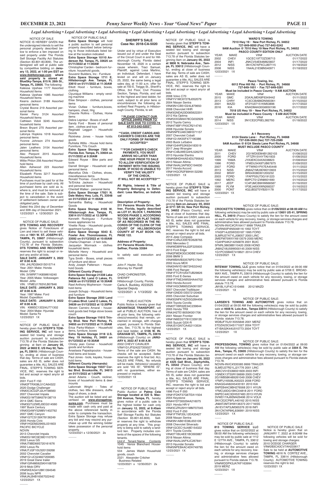*Legal Advertising • Legal Advertising • Legal Advertising • Legal Advertising • Legal Advertising • Legal Advertising • Legal Advertising • Legal Advertising*

| <b>WARD'S TOWING</b>                       |               |                                                                               |                     |
|--------------------------------------------|---------------|-------------------------------------------------------------------------------|---------------------|
| 7010 Hwy 19 · New Port Richey, FL 34652    |               |                                                                               |                     |
|                                            |               | 727-849-0050 (Fax) 727-842-5242                                               |                     |
|                                            |               | 9AM Auction @ 7010 Hwy 19 New Port Richey, FL 34652                           |                     |
|                                            |               | PASCO COUNTY EDITION ONLY                                                     |                     |
| YEAR                                       | MAKE          | VIN#                                                                          | <b>AUCTION DATE</b> |
| 2002                                       | CHEV          | 1GCEC19T72Z336713                                                             | 01/17/2022          |
| 2004                                       | <b>INFI</b>   | JNKCV54E64M823837                                                             | 01/17/2022          |
|                                            |               | 2012 NISS 3N1CN7APXCL897115                                                   | 01/18/2022          |
| 2008                                       | <b>NISS</b>   | 1N4AL21E98N540971                                                             | 01/18/2022          |
|                                            | 12/23/2021 1X |                                                                               |                     |
|                                            |               |                                                                               |                     |
|                                            |               |                                                                               |                     |
|                                            |               | Pasco Towing, Inc.                                                            |                     |
|                                            |               | 6012 Pine Hill Rd. · Port Richey, FL 34668<br>727-849-1651 · Fax 727-849-5281 |                     |
|                                            |               |                                                                               |                     |
| YEAR                                       | MAKE          | Must be included in Pasco County · 9 AM AUCTION<br>VIN#                       | <b>AUCTION DATE</b> |
| 2015                                       |               | GMC 2GKALMEK8F6349442                                                         | 01/11/2022          |
|                                            |               |                                                                               |                     |
| 2013                                       | <b>CHRY</b>   | 1C3CCBAB6DN560361                                                             | 01/15/2022          |
| 2001                                       | MAZD          | 4F2YU07151KM53896                                                             | 01/17/2022          |
| 2016                                       | KIA           | KNADM4A30G6650196                                                             | 01/17/2022          |
| 7018 US Hwy 19 · New Port Richey, FL 34652 |               |                                                                               |                     |
|                                            |               | Must be included in Pasco County · 9 AM AUCTION                               |                     |
| YEAR                                       | MAKE          | VIN#                                                                          | <b>AUCTION DATE</b> |
| 2014                                       | <b>NISS</b>   | 3N1CE2CP6EL382793                                                             | 01/18/2022          |
|                                            | 12/23/2021 1X |                                                                               |                     |
|                                            |               |                                                                               |                     |
|                                            |               |                                                                               |                     |

12/23/2021 1X  $\overline{\phantom{a}}$ 

 $\overline{\phantom{a}}$ 

 $\overline{\phantom{a}}$ 

**A-1 Recovery**

|   |      | <b>A-I RECOVEIV</b>                                  |          |
|---|------|------------------------------------------------------|----------|
|   |      | 6124 Siesta Lane · Port Richey, FL 34668             |          |
|   |      | 727-536-5600 (fax) 727-725-2589                      |          |
|   |      | 9AM Auction @ 6124 Siesta Lane Port Richey, FL 34668 |          |
|   |      | <b>MUST INCLUDE PASCO COUNTY</b>                     |          |
| R | MAKE | VINL#                                                | ALICTION |

| YEAR | MAKE        | VIN#              | <b>AUCTION DATE</b> |
|------|-------------|-------------------|---------------------|
| 2011 | <b>CHEV</b> | 2G1WD5EM4B1282103 | 01/08/2022          |
| 2000 | <b>FORD</b> | 1FTZR15V4YTA01833 | 01/08/2022          |
| 1999 | YAMA        | JYA3EKC04XA038823 | 01/08/2022          |
| 1996 | FORD        | 1FMDU34X8TUB67875 | 01/09/2022          |
| 2007 | FORD        | 1FTWW31PX7EA45448 | 01/11/2022          |
| 2013 | <b>NISS</b> | JN8AZ1MU9DW210603 | 01/15/2022          |
| 2002 | <b>BRAY</b> | BR04X080301200232 | 01/15/2022          |
| 2003 | <b>FORD</b> | 1FAFP55U73G191223 | 01/15/2022          |
| 1992 | <b>MERC</b> | 6MPCT01Z4N8601690 | 01/16/2022          |
| 2017 | JEEP        | 1C4PJMCB9HW666587 | 01/16/2022          |
| 1998 | <b>PLYM</b> | 1P3EJ46XXWN268337 | 01/16/2022          |
| 2000 | <b>PONT</b> | 4G2JB32T0YB201178 | 01/17/2022          |
|      |             |                   |                     |

2013 Nissan Altima VIN#1N4AL3AP9DC194630 2017 Honda Accord VIN#1HGCR2F89HA132290 12/23/2021 1X  $\overline{\phantom{a}}$ 

NOTICE OF PUBLIC SALE is hereby given that **STEPP'S TOW-ING SERVICE, INC** will have a sealed bid towing and storage auction pursuant to subsection 713.78 of the Florida Statutes be-ginning at 9am on **January 05, 2022 at 9602 E. US Hwy 92, Tampa, FL 33610** ( Hillsborough County), ending at close of business that day. Terms of sale are CASH, sales are AS IS, seller does not guarantee a title, ALL SALES ARE FINAL. STEPP'S TOWING SER-

VICE, INC. reserves the right to bid and accept or reject any/or all bids.

2001 Ford F-150 VIN#2FTRX08L51CA64322 2020 Dodge Challenger VIN#2C3CDZFJ2LH198560 2007 Chevrolet Impala VIN#2G1WT58K679138719 2014 GMC Sierra VIN#3GTU2WEJ5EG514560 1997 Buick Century VIN#2G4WY52M8V1402792 2007 GMC Canyon VIN#1GTCS139X78136249 2005 Honda Civic VIN#1HGEM22965L031603 PACIFIC BICYCLE NOVIN 2013 Chevrolet Impala VIN#2G1WC5E39D1107570 2002 Lexus GS VIN#JT8BD69S720161676 2002 Lexus Rx VIN#JTJGF10U320139268 2002 Chevrolet Cavalier VIN#1G1JC524827200085 2019 Great Dane trailer VIN#1GR4M0625KH168709 2019 Mobi DRV VIN#5KEAG4128K1394546 2006 Isuzu NPR VIN#JALB4B16567022442 12/23/2021 1X

 $\overline{\phantom{a}}$ 

12/23/2021 1X  $\overline{\phantom{a}}$ 

NOTICE OF PUBLIC SALE is hereby given that **STEPP'S TOW-ING SERVICE, INC** will have a sealed bid towing and storage auction pursuant to subsection 713.78 of the Florida Statutes beginning 9am on **January 05, 2022 at 9806 N. Nebraska Ave., Tampa, FL 33612** (Hillsborough County), ending at close of business that day. Terms of sale are CASH, sales are AS IS, seller does not guarantee a title, ALL SALES ARE FINAL. STEPP'S TOWING SER-VICE, INC. reserves the right to bid and accept or reject any/or all bids. 2008 Volvo C70 VIN#YV1MC67278J052079 2004 Nissan Sentra VIN#3N1CB51D24L879650 2008 Chevrolet HHR VIN#3GNDA23D08S622201 2012 Kia Optima VIN#5XXGM4A78CG032929 2012 Toyota Camry VIN#4T4BF1FK5CR214745 2008 Hyundai Sonata VIN#5NPEU46C98H371157 2007 Chevrolet Cobalt VIN#1G1AK55F477190386 2003 Buick LeSabre VIN#1G4HP52K634183519 2017 Jeep Wrangler VIN#1C4BJWEG4HL526270 2013 Hyundai Elantra VIN#KMHDH4AE4DU795642

Special Deputy 12/23/2021 x 1/13/2022 4x  $\overline{\phantom{a}}$ 

NOTICE OF PUBLIC SALE is

pressed or implied. 12/23/2021 1X  $\overline{\phantom{a}}$ 

with no guarantees, either

hereby given that **STEPP'S TOW-ING SERVICE, INC** will have a sealed bid towing and storage auction pursuant to subsection 713.78 of the Florida Statutes beginning **9am on January 05, 2022 at 5711 SR 54, New Port Richey, FL 34652** (Pasco County), ending at close of business that day. Terms of sale are CASH, sales are AS IS, seller does not guarantee a title, ALL SALES ARE FINAL. STEPP'S TOWING SERVICE, INC. reserves the right to bid and accept or reject any/or all bids. 2014 Jeep Compass VIN#1C4NJCEB7ED628765 2002 Mercedes C VIN#WDBRF64J22F225935 2013 Ford Edge VIN#2FMDK3GC9DBE16464 2006 BMW 3 VIN#WBAVB33576PS17941 2002 Acura MDX VIN#2HNYD18672H532442 1996 Ford Ranger VIN#1FTCR10A4TUB29826 2005 Ford E-Series VIN#1FTNE24W55HA44702

2003 Honda Accord VIN#1HGCM66523A061597 2007 Chevrolet Trailblazer VIN#1GNDS13S572120400 2005 Chevrolet Suburban VIN#3GNFK16ZX5G284456 2004 Toyota Corolla VIN#2T1BR32E34C239644 2005 Honda TRX VIN#JH2TE18055K001706 2001 Nissan Frontier VIN#1N6ED27Y81C339135 2005 Suzuki GSX-R VIN#JS1GN7CA452113534 12/23/2021 1X

 $\overline{\phantom{a}}$ 

NOTICE OF PUBLIC SALE is hereby given that **STEPP'S TOW-ING SERVICE, INC** will have a sealed bid towing and storage auction pursuant to subsection 713.78 of the Florida Statutes beginning **9am on January 05, 2022 at 4325 Gall Blvd., Zephyrhills, FL 33542** (Pasco County), ending at close of business that day. Terms of sale are CASH, sales are

Steven Carreiro Amaral - household goods bed fridge stove boxes couch **Extra Space Storage 11615 Trinity Blvd. New Port Richey, FL AT 8:00 A.M.** VIN: KM8SC13D24U771302 Year: 2004 Make: Hyundai Model: Santa Fe 12/23/2021 1X  $\overline{\phantom{a}}$ 

> AS IS, seller does not guarantee a title, ALL SALES ARE FINAL. STEPP'S TOWING SERVICE INC. reserves the right to bid and accept or reject any/or all bids. 1996 Ford F-350 VIN#1FDKF37G6TEA11504 2004 Keystone VIN#4YDT300294A216075 2021 Honda HR-V VIN#3CZRU5H11MM707045 2002 Ford F-250 VIN#1FTNF20L12EA33427 2008 Nissan Sentra VIN#3N1AB61E08L655109 2008 Chevrolet Silverado VIN#1GCEC19J48E154322 2011 Toyota Corolla VIN#2T1BU4EE1BC693887 2018 Nissan Altima VIN#1N4AL3APXJC267841 2013 Hyundai Sonata VIN#5NPEB4AC4DH749795

#### **SHERIFF'S SALE Case No: 2018-CA-5020**

Under and by virtue of Execution issued out of and under the Seal of the Circuit Court in and for Hillsborough County, Florida dated November 18, 2020 in a certain cause wherein, Traci Samuel, Plaintiff, against Lesa Martino, an Individual, Defendant. I have levied on and will on January 25, 2022, the same being a legal sales day, at 11:00 a.m. offer for sale at 700 E. Twiggs St., Sheriff's Office, 3rd Floor, Civil Process Section, Tampa, Florida, and sell to the highest and best bidder, for cash, subject to all prior liens or encumbrances the following described Real Property, in Hillsborough County, Florida, to wit:

**\*\*PLEASE CONTACT OUR OFFICE 24HRS PRIOR TO SALE DATE DUE TO COVID-19 AT 813-242-5203\*\***

**\*\*CASH, CREDIT CARDS AND CASHIER'S CHECKS ARE THE ONLY FORMS OF PAYMENT ACCEPTED\*\***

**\*\*\*FOR CASHIER'S CHECK PAYMENTS, YOU MUST ARRIVE NO LATER THAN ONE HOUR PRIOR TO SALE TO ALLOW VERIFICATION OF PAYMENT WITH THE ISSUING BANK. IF HCSO IS UNABLE TO VERIFY THE VALIDITY OF THE CHECK, IT WILL NOT BE ACCEPTED\*\*\***

**All Rights, Interest & Title of Property Belonging to Defendant: Lesa Martino, an Individual**

**Description of Property:** 

**211 Parsons Woods Drive, Seffner, Florida, legally described as LOT 37, BLOCK 1, PARSONS WOODS PHASE 2, ACCORDING TO THE MAP OR PLAT THERE-OF AS RECORDED IN THE RE-CORDS OF THE CLERK OF THE COURT OF HILLSBOROUGH COUNTY AT PLAT BOOK 120, PAGE 122.**

**Address of Property: 211 Parsons Woods Drive, Seffner, Florida 33584**

to satisfy said execution and costs.

John F. Hayter, Esq. Attorney for Plaintiff

CHAD CHRONISTER, SHERIFF Hillsborough County, Florida Carla A. Buckley, #223525

JM1BL1UF4C1510466 2012 MAZD 12/23/2021 1X  $\overline{\phantom{a}}$ 

 PUBLIC AUCTION Public Notice is hereby given that **ADVANTAGE TRANSPORT**, will sell at PUBLIC AUCTION, free of all prior liens, the following vehicles(s)/vessel(s) that remain, unclaimed in storage, with charges unpaid, pursuant to Florida Statutes, Sec. 713.78, to the highest and best bidder, at **5106 W. IN-GRAHAM ST., TAMPA, FL 33616** (Hillsborough County) on **JANU-ARY 6, 2022 AT 8:00 A.M**. 2002 CHEVY CAVALIER VIN#1G1JF524227355027 Terms of the sale are CASH. No checks will be accepted. Seller reserves the right to final bid. ALL SALES ARE FINAL. No refunds will be made. Vehicle(s)/ vessel(s) are sold "AS IS", "WHERE IS",

NOVIN-INVC#335585 9999 TRAILER 5LMEU27R21LJ21776 2001 LINC JNKCV51E53M331609 2003 INFI 1GNEK13T55R156699 2005 CHEV 2G1WB58K489261049 2008 CHEV 1FMFU16508LA00223 2008 FORD KNAGG4A82A5433181 2010 KIA 5NPEB4AC9BH276568 2011 HYUN 1FMCU0DG1BKC04818 2011 FORD 5NPEC4AC3DH537483 2013 HYUN 3VWD17AJ6EM429496 2014 VOLK 3N1CE2CP8FL440162 2015 NISS JN8AT2MT3HW136373 2017 NISS JN1EV7AP3JM365376 2018 INFI 3N1CN7AP8KL836991 2019 NISS 12/23/2021 1X  $\overline{\phantom{a}}$ 

**34655 on 01/12/2022 at 11:30AM** Erica Parks-Watson - Household

items, furniture, boxes

**Extra Space Storage 3118 U.S. Hwy. 19 Holiday, FL 34691 on 01/12/2022 at 10:30AM** Christy jean Comer - household

goods and furniture

Anastasia Papadopoulos - house-

hold items and boxes Paul Jones - tools, kayaks, household items **Different County (Hernando) Extra Space Storage 15027 Cor-Blvd. Brooksvill on 01/11/2022 at 1:00PM** Jered Adams - Couch, recliner, boxes of household items & deer mounts

 NOTICE OF PUBLIC SALE **Extra Space Storage** will hold a public auction to sell personal property described below belonging to those individuals listed below at the location indicated: **Extra Space Storage 10110 Anderson Rd. Tampa, FL 33625 on 01/11/2022 at 11:00AM**  Christopher Carden - bedroom furniture. household goods. Souvenir Builders, Inc - Furniture **Extra Space Storage 1711 E. Hillsborough Ave. Tampa, FL 33610 on 01/11/2022 at 11:30AM** Elliott Hood - furniture, boxes, clothing Clyunique Williams - empty vending machine Elise Simpson - clothes, personal items Vivian Outlaw - furniture,boxes, hampers, chest, hhg Chaunte Rollins - Clothes, Home items Debra Leprieur - Boxes of stuff Sandy Ford - Boxes of personal item , clothes and toys Reginald Leggon - Household Goods Ricktreka Jones - house holds goods Ruhtelia Willis - House hold items Funniture, TVs Couch **Extra Space Storage 7202 N. Florida Ave. Tampa, FL 33604 on 01/11/2022 at 9:30AM**  Edward Royse - Bike parts and tools Darrell Stringer - Household and personal items Marcellus Olds - Clothes, shoes, miscellaneous items. Ronald Thomas - Couch Boxes Ta'Ericka Jackson - Household and personal items Chentell Walker - personal items **Extra Space Storage 17921 N. Dale Mabry Hwy. Lutz, FL 33548 on 01/12/2022 at 11:00AM** Samantha Ballog - Household Goods **Extra Space Storage 4105 W. Hillsborough Ave. Tampa, FL 33614 01/11/2022 at 12:30PM** Kenneth Rodriguez - Furniture boxes appliances tvs Yinette Rosa - Household goods, apartment furniture. **Extra Space Storage 9343 E. Fowler Ave. Thonotosassa, FL 33592 on 01/12/2022 at 10:00AM** Charlia Chapman - 2 twin bds, Jacquelyn Wormack - clothes household items Michelle Henry - Household and personal items Tgra Smith - Boxes, small pieces of furniture and décor Andy Joseph Patterson - Household Goods **Different County (Pasco) Extra Space Storage 21338 Lake Patience Rd. Land O Lakes, FL 34638 on 01/12/2022 at 10:30AM** Rawl Anthony Mcpherson - household items Joseph Schupp - Household items and furniture **Extra Space Storage 2550 Land O Lakes Blvd. Land O Lakes, FL 34639 on 01/12/2022 at 12:30PM** NOTICE OF SALE NOTICE IS HEREBY GIVEN that the undersigned intends to sell the personal property described below to enforce a lien imposed on said property under The Florida Self Storage Facility Act Statutes (Section 83.801-83.809). The undersigned will sell at public sale by competitive bidding on **January 13, 2022, at 1:00 pm EST on www.ibid4storage.com where said property is stored at: BlueSky-Tampa, 815 N. 26th St., Tampa, FL 33605**. The following: Kalessa Upshaw 1177 Assorted Household Items Kalessa Upshaw 1085 Assorted Household Items Kearra Jackson 3189 Assorted personal items Crystal Boone 219 Assorted per-Xavier Perry 3124 Assorted Household Items Cathleen Vidoli 3245 Assorted household items Breon Bryant 270 Assorted per-Latonya Hopkins 1018 Assorted personal items Yvonne Johnson 274 Assorted personal items Jalen Leathers 3154 Assorted personal items Alec Pierpont 2015 Assorted Household Items Willie Philon 256 Assorted House-Allen Ashwood 223 Assorted Household Items Elizabeth Flores 3217 Assorted Household items Purchases must be paid for at the time of purchase by cash only. All purchased items are sold as is. where is, and must be removed at the time of the sale. Sale is subject to cancellation in the event of settlement between owner and obligated party. Dated this 23rd day of December and 30th day of December 2021. 12/23/2021 x 12/30/2021 2x NOTICE OF PUBLIC SALE: **DTS TOWING AND RECOVERY**  gives Notice of Foreclosure of Lien and intent to sell these vehicles at **1901 W. ST. JOSEPH ST., TAMPA, FL 33607** (Hillsborough County), pursuant to subsection 713.78 of the Florida Statutes. **DTS TOWING AND RECOVERY** reserves the right to accept or reject any and/or all bids. **SALE DATE: JANUARY 3, 2022 AT 8:00 A.M.** VIN: JHLRD28431S015714 Year: 2001 Make: Honda Model: CRV VIN: 3VWRF71K85M616240 Year: 2005 Make: Volkswagen VIN: 1FMEU1763VLB07846 **SALE DATE: JANUARY 8, 2022 AT 8:00 A.M.** Year: 1997 Make: Ford Model: Expedition **SALE DATE: JANUARY 9, 2022** 

> Lailonnah Wright - Totes of clothes, two little dressers, duffle bags of shoes, a desk The auction will be listed and advertised on **www.storagetreasures.com**. Purchases must be made with cash only and paid at the above referenced facility in order to complete the transaction. Extra Space Storage may refuse any bid and may rescind any purchase up until the winning bidder takes possession of the personal property. 12/23/2021 x 12/30/2021 2x

 $\overline{\phantom{a}}$ 

sonal items

sonal Items

hold Items

 $\overline{\phantom{a}}$ 

 NOTICE OF PUBLIC SALE Public Auction at **Palma Ceia Storage located at 520 S. Mac-Dill Avenue, Tampa, FL** hereby gives notice of a public sale to the highest bidder for cash only on **January 12, 2022, at 9:45am**  in accordance with the Florida Self Storage Facility Act Statutes (Section 83.801-83.809). Seller reserves the right to withdraw property at any time. This property is being sold to satisfy a landlord lien. Property includes contents of the spaces of the following tenants. Unit # Tenant Name Contents 1045 Vance Blanchard Household items

534 James Walsh Household

goods, couch 2321 Alexander Critcher Business Related 12/23/2021 x 12/30/2021 2x

 $\overline{\phantom{a}}$ 

Model: Jetta

#### NOTICE OF PUBLIC SALE:

**CROCKETTS TOWING** gives notice that on **01/06/2022 at 08:00 AM** the following vehicles(s) may be sold by public sale at **13601 US 41, SPRING HILL, FL 34610** (Pasco County) to satisfy the lien for the amount owed on each vehicle for any recovery, towing, or storage services charges and administrative fees allowed pursuant to Florida statute 713.78. NOVIN-INVC#CR16417 9999 TRAILER JT4RN93P4N5048116 1992 TOYT 1FASP14J2SW333187 1995 FORD 5LMRU27A7YLJ08057 2000 LINC 2MEFM75WXYX613579 2000 MERC 1G4HP54K214256878 2001 BUIC 5FNRL38638B110420 2008 HOND JN8AZ18U59W000145 2009 NISS 1G1PC5SB4E7418621 2014 CHEV

12/23/2021 1X

#### NOTICE OF PUBLIC SALE:

**RITEWAY TOWING, LLC** gives notice that on 01/04/2022 at 09:00 AM the following vehicles(s) may be sold by public sale at 5706 E. BROAD-WAY AVE., TAMPA FL 33619 (Hillsborough County) to satisfy the lien for the amount owed on each vehicle for any recovery, towing, or storage services charges and administrative fees allowed pursuant to Florida statute 713.78.

#### NOTICE OF PUBLIC SALE:

**LARSEN'S TOWING AND AUTOMOTIVE** gives notice that on 01/04/2022 at 09:00 AM the following vehicles(s) may be sold by public sale at **4608 N. Lois Ave., Tampa 33614** (Hillsborough County) to satisfy the lien for the amount owed on each vehicle for any recovery, towing, or storage services charges and administrative fees allowed pursuant to Florida statute 713.78.

WDBJF70J51X055846 2001 MERZ 5TDZA23C54S171027 2004 TOYT 4T1BA32K44U010773 2004 TOYT 12/23/2021 1X

#### NOTICE OF PUBLIC SALE:

**PROFESSIONAL TOWING** gives notice that on 01/04/2022 at 09:00 AM the following vehicles(s) may be sold by public sale at **3304 E. 7th Ave., Tampa, FL 33605** (Hillsborough County) to satisfy the lien for the amount owed on each vehicle for any recovery, towing, or storage services charges and administrative fees allowed pursuant to Florida statute 713.78.

 NOTICE OF PUBLIC SALE: **813 TOWING SERVICE LLC**

gives notice that on 02/02/2022 at 08:00 AM the following vehicles(s) may be sold by public sale at 1112 E 127TH AVE., TAMPA, FL 33612 (Hillsborough County) to satisfy the lien for the amount owed on each vehicle for any recovery, towing, or storage services charges and administrative fees allowed pursuant to Florida statute 713.78. VIN#WDDPK3JA7KF163994 2019 MERZ 12/23/2021 1X

 $\overline{\phantom{a}}$ 

 NOTICE OF PUBLIC SALE Notice is hereby given that on JANUARY 7, 2022 at 8:00AM the following vehicles will be sold for towing and storage charges: 2010 DODGE CHARGER VIN#2B3CA3CV7AH233617 Sale to be held at **AUTOMOTIVE TOWING** 4816 N. CORTEZ AVE., TAMPA, FL 33614 (Hillsborough County). AUTOMOTIVE TOWING reserves the right to bid. 12/23/2021 1X

 $\overline{\phantom{a}}$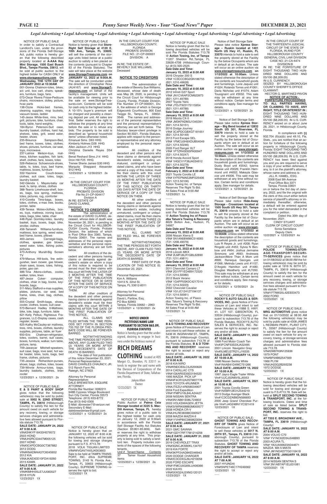#### *Legal Advertising • Legal Advertising • Legal Advertising • Legal Advertising • Legal Advertising • Legal Advertising • Legal Advertising • Legal Advertising*

IN THE CIRCUIT COURT OF THE THIRTEENTH JUDICIAL CIRCUIT OF THE STATE OF FLORIDA, IN AND FOR HILLSBOROUGH COUNTY GENERAL CIVIL LAW DIVISION

CASE NO.:21-CA-6474 DIVISION:B IN RE: THE FORFEITURE OF EIGHT THOUSAND TWO HUN-

In compliance with §§ 932.704 (6)(a)(b) and 49.10, Fla. Stats., you are notified that an action for forfeiture of the following property in Hillsborough County, Florida: EIGHT THOUSAND TWO HUNDRED NINE DOLLARS AND 05/100 (\$8,209.05) IN U.S. CUR-RENCY has been filed against you and you are required to serve a copy of your written defenses, if any, to it on the plaintiff's attorney, whose name and address is:

DRED NINE DOLLARS AND 05/100 (\$8,209.05) IN U.S. CURRENCY. SEIZED BY HILLSBOROUGH

COUNTY SHERIFF'S OFFICE CLAIMANT: HECTOR G. MARTINEZ-PAVON

 **NOTICE OF ACTION -** 

**FORFEITURE PROCEEDINGS TO: ALL PARTIES HAVING, OR CLAIMING TO HAVE, ANY RIGHT, TITLE OR INTEREST IN :** EIGHT THOUSAND TWO HUN-DRED NINE DOLLARS AND 05/100 (\$8,209.05) IN U.S. CUR-RENCY seized on or about June 28, 2021, in Hillsborough County, Florida.

12/2/2021 x 12/23/2021 4x  $\overline{\phantom{a}}$ 

 Notice of Self Storage Sale Please take notice **Xpress Storage – Ruskin located at 1401 North US Hwy 41, Ruskin, FL 33570** intends to hold a sale to sell the property stored at the Facility by the below Occupants whom are in default at an Auction. The sale will occur as an online auction via **www.storagetreasures.com on 1/12/2022 at 10:00am**. Unless stated otherwise the description of the contents are household goods and furnishings. Lorie Jaquez unit #1024; Rolando Torres unit #1061; Darla Nicholas unit #1074; Adam Tousignant unit #3032. This sale may be withdrawn at any time without notice. Certain terms and conditions apply. See manager for details

12/23/2021 x 12/30/2021 2x  $\overline{\phantom{a}}$ 

 Notice of Self Storage Sale Please take notice **Xpress Stor-age – Big Bend located at 12832 South US 301, Riverview, FL 33579** intends to hold a sale to sell the property stored at the Facility by the below list of Occupants whom are in default at an Auction. The sale will occur as an online auction via **www.storagetreasures.com on 1/12/2022 at 10:00am**. Unless stated otherwise the description of the contents are household goods and furnishings. Dusty Boyd unit #2042; Iyanna Weese unit #3026; Franklin Hammond unit #4002; Makayla Glascoe unit #4006. This sale may be withdrawn at any time without notice. Certain terms and conditions apply. See manager for details. 12/23/2021 x 12/30/2021 2x  $\overline{\phantom{a}}$ 

 JILL R. HAMEL, ESQ. 2008 East 8th Avenue Post Office Box 3371

Tampa, Florida 33601

on or before the 3rd day of January, 2022, and file the original with the clerk of this court either before service of plaintiff's attorney or immediately thereafter; otherwise, a default will be entered against you for the relief demanded in the complaint or petition.

Dated this 30th day of November, 2021.

 CINDY STUART CLERK OF CIRCUIT COURT Sonia Santallana Deputy Clerk

12/23/2021 x 12/30/2021 2x  $\overline{\phantom{a}}$ 

NOTICE OF PUBLIC SALE:<br>POLICIE TOWING-STOR-**POLICIE TOWING-STOR-AGE-TRANSPORT-SECURI-TY-SERVICES** gives notice that on 01/08/2022 at 08:00 AM the following vehicles(s) may be sold by public sale at 1916 N. 60TH ST. TAMPA, FL 33619 (Hillsborough County) to satisfy the lien for the amount owed on each vehicle for any recovery, towing, or storage services charges and administrative fees allowed pursuant to Florida statute 713.78. VIN#1FTNW20L42EB33473 2002 FORD

 Notice of Self Storage Sale Please take notice **Hide-Away Storage - Crosstown located at 1505 South US Hwy 301, Tampa FL 33619** intends to hold a sale to sell the property stored at the Facility by the below list of Occupants whom are in default at an Auction. The sale will occur as an online auction via **www.storagetreasures.com on 1/12/2022 at 10:00AM**. Unless stated otherwise the description of the contents are household goods and furnishings. Luis R Reyes Jr. unit #208; Ryan Ringold unit #453; Sylvia N Benbow unit #464; Joshua Jermaine Simmons unit #693; Andresea Jackson/More Than A Mom unit #899; Renequa Georges unit #1066; Melinda Lewis unit #1157; D'Angelo Hamilton unit #1480; Douglas Weatherly unit #LT050. This sale may be withdrawn at any time without notice. Certain terms and conditions apply. See manager for details.

> NOTICE OF PUBLIC SALE Notice is hereby given that the following described vehicles will be sold for towing and storage pursuant to F.S.#713.78. Sale will be held at **SPLIT SECOND TOWING & TRANSPORT, INC.** at the following locations. Dates and time of sale as listed below. **SPLIT SECOND TOWING & TRANS-PORT, INC.** reserves the right to bid. **AT 7203 E. BROADWAY AVE., TAMPA, FL 33619** (Hillsborough County) **SALE DATE: JANUARY 16, 2022 AT 8:00 A.M.** 2004 VOLVO C70 VIN# YV1NC62D34J048893 2003 ACURA TL VIN# 19UUA56623A044671 MAZDA MX-5 MIATA VIN# JM1NDAD77G0118418 **SALE DATE: JANUARY 18, 2022 AT 8:00 A.M.**  2014 NISSAN SENTRA S VIN# 3N1AB7AP1EL631081 12/23/2021 1X  $\overline{\phantom{a}}$

12/23/2021 1X

 $\overline{\phantom{a}}$ 

 NOTICE OF PUBLIC SALE: **MRG AUTOMOTIVE** gives notice that on 01/13/2022 at 08:00 AM the following vehicles(s) may be sold by public sale at 4308 JAMES L REDMAN PKWY., PLANT CITY, FL. 33567 (Hillsborough County) to satisfy the lien for the amount owed on each vehicle for any recovery, towing, or storage services charges and administrative fees allowed pursuant to Florida statute 713.78. VIN#2W87K9N125936 1979 PONT VIN#BP29B62547569 1966 PLYM

VIN#JH23G2B293238

1972 DODGE 12/23/2021 1X

 $\overline{\phantom{a}}$ 

Attorney for Personal Representative: David L Partlow, Esq. PO Box 82963 Tampa, Florida 33682 – 2963 12/23/2021 x 12/30/2021 2x  $\overline{\phantom{a}}$ 

NOTICE OF PUBLIC SALE Notice is hereby given that the following described vehicles will be sold Per Florida Statutes 713.78 @ **Action Towing, Inc. of Tampa** 11207 Sheldon Rd.,Tampa, FL 33626-4708 (Hillsborough County) (813) 920-2525 **Sale Date and Time: January 15, 2022 at 8:00 AM** 2016 Chrysler 200 S VIN# 1C3CCCBG2GN186755 (B21.1210.49628) **Sale Date and Time: January 16, 2022 at 8:00 AM** 2012 Infiniti G37 Sport VIN# JN1CV6AP2CM623973 (B21.1211.49789) 2007 Toyota Yaris VIN# JTDJT923175115954 (B21.1211.49788) **Sale Date and Time: January 19, 2022 at 8:00 AM** 2018 Mazda CX-5 VIN# JM3KFADM3J1345391 (B21.1214.50151) 2016 Dodge Journey VIN# 3C4PDCGBXGT181651 (B21.1214.50149) 2013 Ford Escape SEL VIN# 1FMCU0H9XDUB54049 (S21.1214.50246) 2005 Ford Ranger XLT VIN# 1FTZR45E65PA00947 (S21.1214.50247) 2018 Honda Accord Sport VIN# 1HGCV1F38JA034612 (B21.1214.50278) **Sale Date and Time: February 2, 2022 at 8:00 AM** 2021 Toyota Corolla LE VIN# 5YFEPMAE2MP225406 (S21.1213.50106) Action Towing Inc. of Tampa Reserves The Right To Bid. All Sales Final at 9:00 AM 12/23/2021 1x

NOTICE OF PUBLIC SALE Notice is hereby given that the following described vehicles will be sold Per Florida Statutes 713.78 @ **Action Towing Inc of Pasco dba Tatum's Towing & Recovery** 8629 Bolton Ave., Hudson, FL 34667

**Sale Date and Time:**

 $\overline{\phantom{a}}$ 

 $\overline{\phantom{a}}$ 

Trenee Sherie James G30 HHG Marquita Sheppard Alexander B12 HHG 12/23/2021 x 12/30/2021 2x  $\overline{\phantom{a}}$ 

> **January 15, 2022 at 8:00 AM** 2006 Nissan Xterra S VIN# 5N1AN08W86C514065 (T21.1208.49379) **Sale Date and Time: January 16, 2022 at 8:00 AM** 2016 Lincoln MKX VIN# 2LMPJ6LR1GBL62890 (T21.1211.49811) **Sale Date and Time: January 19, 2022 at 8:00 AM** 2011 Chevrolet Camaro LT VIN# 2G1FF1ED4B9172320 (T21.1214.50080) 2012 Buick Verano VIN# 1G4PP5SK0C4217014 (T21.1214.50223) 2002 Chevrolet Cavalier VIN# 1G1JC124127194137 (T21.1214.50081) Action Towing Inc. of Pasco dba: Tatum's Towing & Recovery Reserves The Right To Bid. All Sales Final at 9:00 AM 12/23/2021 1x

237-Latrice Melson-toys, mattress, kitchen supplies, fish tank, shelf, clothes, fans, boxes, totes 326-Rebecca Schoenrock-shoes, table, tv, totes, toys, bed frame, mattress, boxes, furniture<br>332-Yasmine Couch-boxes,

> NOTICE OF PUBLIC SALE **ROCKY'S AUTO SALES & SER-VICES, INC.** gives Notice of Foreclosure of Lien and intent to sell these Vehicles at 11888 S. HWY. 41, LOT 107, GIBSONTON, FL 33534 (Hillsborough County), pursuant to subsection 713.78 of the Florida Statutes. ROCKY'S AUTO SALES & SERVICES, INC. Reserves the right to accept or reject any and/or all bids. **SALE DATE: JANUARY 11, 2022 AT 10:00 A.M.**

332-Yasmine clothes, suit case, totes, bags,

> 1999 Ford Motor Coach Tan Vin#3FCNF53S3XJA32495 2001 Lincoln Navigator Gray Vin#5LMEU27R21LJ16335 **SALE DATE: JANUARY 14, 2022 AT 10:00 A.M.** 1998 Nissan Sentra White Vin#1N4AB41D4WC751266

stroller, clothes 456-Tamereh Williams-furniture, mattress, box spring, weed eater.

**SALE DATE: JANUARY 15, 2022** 

bed frame, boxes, pillows<br>463-James Carneg Carnegie-bags, clothes, speaker, gas blower, weed eater, totes, fishing poles, pictures

#### **AT 10:00 A.M.** 1997 Jayco Eagle Trailer White

 $\overline{\phantom{a}}$ 

.<br>473-Anthony Muralt-Big Screen TV

#### Vin#1UJCJ02N6V5LJ0053 **SALE DATE: JANUARY 16, 2021 at 10:00 A.M.**

boards, bags 511-Mary Stafford-x-mas supplies, plates, pictures, car seat, bed frame, totes, chair, bag, clothes,

> 2001 Toyota Corolla Green Vin#1NXBR12E31Z544219 2013 Dodge Avenger Black Vin#1C3CDZAB9DN566693 2000 Jeep Grand Cherokee Purple Vin#1J4G248N1YC321419 12/23/2021 1X

735-Jessica Richardson-purses, shoes, bags, clothes, totes, boxes 739-Winnie Armour-totes, bags,

VIN#2HKYF18433H579572 2003 HOND VIN#JH2RC53447M005125 2007 HOND VIN#3C4PDCBG0CT387882 2012 DODG VIN#KNADM4A37C6045652 2012 KIA VIN#JKAEXEE10FDA19260 2015 KAWK **SALE DATE: JANUARY 31, 2022 AT 9:00 A.M.** VIN#KMHH35LE7JU083527 2018 HYUN 12/23/2021 1X  $\overline{\phantom{a}}$ 

 NOTICE OF PUBLIC SALE: **GHOST TOWING AND RECOV-ERY OF TAMPA** gives Notice of Foreclosure of Lien and intent to sell these vehicles at **5017 N. 29TH ST., Tampa, FL 33610** (Hillsborough County), pursuant to subsection 713.78 of the Florida Statutes. **GHOST TOWING AND RECOVERY OF TAMPA** reserves the right to accept or reject any and/or all bids. **SALE DATE: JANUARY 16, 2022 AT 7:00 A.M.** 2007 HYUNDAI VIN#5NPET46C17H249362 12/23/2021 1X  $\overline{\phantom{a}}$ 

IN THE CIRCUIT COURT FOR HILLSBOROUGH COUNTY, **FLORIDA** PROBATE DIVISION FILE NO.: 21-CP-000001 DIVISION: A

IN RE: THE ESTATE OF: BEVERLY SUE WILLIAMS, Deceased

#### **NOTICE TO CREDITORS**

The administration of the estate of Beverly Sue Williams, deceased, whose date of death was May 28, 2020, is pending in the Circuit Court for Hillsborough County, Florida, Probate Division, File Number 21-CP-000001, Div. A, the address of which is George Edgecomb Courthouse, 800 East Twiggs St., Tampa, FL 33602- 3549. The names and addresses of the personal representative and the personal representative's attorney are set forth below. The fiduciary lawyer-client privilege in Section 90.5021, Florida Statutes, applies with respect to the personal representative and any attorney employed by the personal representative.

ALL CLAIMS NOT<br>-FILED WITHIN THE TIME PERI ODS SET FORTH IN SECTION 733.702 OF THE FLORIDA PRO-BATE CODE WILL BE FOREVER BARRED.

All creditors of the decedent and other persons who have claims or demands against decedent's estate, including unmatured, contingent or unliquidated claims, and who have been served a copy of this notice, must file their claims with this court WITHIN THE LATER OF THREE (3) MONTHS AFTER THE DATE OF THE FIRST PUBLICATION OF THIS NOTICE OR THIRTY (30) DAYS AFTER THE DATE OF SERVICE OF A COPY OF THIS NOTICE ON THEM.

All other creditors of the decedent and other persons having claims or demands against the decedent's estate, including unmatured, contingent or unliquidated claims, must file their claims with this court WITHIN THREE (3) MONTHS AFTER THE DATE OF THE FIRST PUBLICATION OF THIS NOTICE.

Unit # Tenant Name Contents<br>37 Tamer Yousef Household Tamer Yousef Household Items 12/23/2021 x 12/30/2021 2x

 $\overline{\phantom{a}}$ 

ALL CLAIMS NOT SO FILED WILL BE FOREVER BARRED.

NOTWITHSTANDING THE TIME PERIODS SET FORTH ABOVE, ANY CLAIM FILED TWO (2) YEARS OR MORE AFTER THE DECEDENT'S DATE OF DEATH IS BARRED.

FIRST DATE OF PUB-LICATION OF THIS NOTICE IS: December 23, 2021.

Personal Representative: Kim A. Williams 10413 N. 22nd St. Tampa, FL 33612-6011

> NOTICE OF PUBLIC SALE: **B & D TOWING AND RECOVERY**  gives Notice of Foreclosure of Lien and intent to sell these vehicles at 5436 W. INGRAHAM ST., TAMPA, FL 33616 (Hillsborough County), pursuant to subsection 713.78 of the Florida Statutes. **B & D TOW-ING AND RECOVERY** reserves the right to accept or reject any and/or all bids. **SALE DATE: JANUARY 18, 2022 AT 8:00 A.M.** 2018 KIA NIRO VIN#KNDCB3LC5J5200620 2014 CADILLAC CTS

VIN#1G6AR5S35E0194520

1995 MAZDA PICK UP VIN#4F4CR12A2STM07776 2005 TOYOTA 4RUNNER VIN#JTEZU14R058034907 2004 Ford Expedition VIN#1FMPU16L84LA24427 2008 NISSAN SENTRA VIN#3N1AB61E08L724803 2003 VOLKSWAGEN JETTA VIN#3VWRK69M83M000577 2008 HONDA CR-V VIN#JHLRE38388C000527 2008 MAZDA MAZDA 6 VIN#1YVHP80C085M23094 **SALE DATE: JANUARY 27, 2021 AT 8:00 A.M.** 2021 GMC SAVANA VIN#1GDY7RF77M1214258 **SALE DATE: JANUARY 31, 2022 AT 8:00 A.M.** 2019 CHEVROLET TRAX VIN#3GNCJKSB0KL134797 2019 KIA FORTE VIN#3KPF24AD8KE046943 2020 DODGE CHARGER VIN#2C3CDXGJ9LH210058 2020 FORD ESCAPE VIN#1FMCU0G69LUA06366 2022 KIA K5 VIN#5XXG24J2XNG120121 12/23/2021 1X

 $\overline{\phantom{a}}$ 

#### **NOTICE UNDER FICTITIOUS NAME LAW PURSUANT TO SECTION 865.09, FLORIDA STATUTES**

Notice is hereby given that the undersigned, desiring to engage in business under the fictitious name of

# **RICH DREAMS**

**CLOTHING** located at 405 Margot Ct., Brandon, FL 33511 intends to register the said name with the Division of Corporations of the

Florida Department of State, Tallahassee, Florida. Jakyra Allen

 Owner 12/23/2021 1X \_\_\_\_

NOTICE OF PUBLIC SALE Notice is hereby given that **Store-Right Self Storage at 4120 E. 10th Ave., Tampa, FL 33605**, will sell the contents of the storage units listed below at a public auction to satisfy a lien placed on the contents (pursuant to Chapter 83 of the Florida Statutes). The sale will take place at the website **www.StorageTreasures.com on JANUARY 12, 2022 at 9:00A.M.** The sale will be conducted under the direction of Christopher Rosa (AU4167) and **www.StorageTreasures.com** on behalf of the facility's management. Units will be available for viewing prior to the sale on www.StorageTreasures.com. Contents will be sold for cash only to the highest bidder. A 10-15% buyer's premium will be charged and possibly a cleaning deposit per unit. All sales are final. Seller reserves the right to withdraw the property at any time before the sale or to refuse any bids. The property to be sold is described as "general household items" unless otherwise noted. Emanual Sims D63 HHG Kimberly Holmes D28 HHG Allen Jackson J13 HHG Christina Danielle Reyes D54 **HHG** Benal Reshard Sims J14 HHG Dron Hill F25 HHG

 NOTICE OF PUBLIC SALE In order to satisfy a Contractual Landlord's Lien, under the provisions of the Florida Self-Storage Act, public notice is hereby given that the following described property located at **A-AAA Key Mini Storage, 1500 East Busch Blvd., Tampa Florida, 33612**, will be sold at public auction to the highest bidder for CASH ONLY at **www.storageauctions.com On Wednesday, THE 12TH DAY OF** 

**JANUARY 2022 at 10:30AM**. 001-Donna Chatmon-totes, bikes, a/c unit, box cart, chairs, speak-

ers, furniture, bags, fans. 073-Oscar Rivera Frisse-Pedicure chairs, microwave, dolley, picture,

hvac parts 138-Ozzie Hicks-bed frames, cleaning supplies, mop buckets, vacuum boxes, ladder

145-Jesse White-tires, rims, bed, grill, pictures, bike, furniture, chair,

tools, table, hand weights, 184-Byron Peterson-Suit case, laundry basket, clothes, hard hat, shelves, totes, grill, weed eater,

heater, shoes Sampson-Bed, bed frame, boxes, totes, clothes, shoes, pictures, furniture, car seat, toys, microwave.

laundry basket 342-Glenda L Mayes-baby car seat, tv, lamp, shoes, clothes 388-Tearra Limehouse-shelf, boxes, bags, box spring, mattress,

totes, pictures, rug, comforter 410-Coretta Tims-bags, boxes, totes, clothes, x-mas tree, books,

printer, table 439-Teresa Motes-clothes, boxes, toys, mattress, ironing board,

totes, bags, bike, table, chair 448-Ryan Gormley-totes, laundry basket, toys, boxes, bags, bike,

479-Marcus Hill-tools, fire extinguisher, lawn mower, gas blower, chain saws, boxes, totes, fishing,

poles, gas can 486-Tina Atkins-clothes, cooler, walker, totes, linen

487-Jesse Coker- computer, clothes, chair in bag, books, key-

pillow 555-Crystal Smith-bags, shoes, cooler, clothes, boxes, suit case 573-Bernard Hadley II-Mattress, bike, tote, bags, furniture, table 621-Kelly Pettus; Righteous Fragrances, LLC-Display cases, cash register, boxes

625-Kathy McCauley-air mattress, tires, rims, boxes, clothes, laundry supplies, pictures, table, air fryer 650-Eric Chatman-refrigerator, totes, coolers, barrel, suit cases, boxes, furniture, walker, turn table, picture, lamp.

709-Jawaryar Mitchell-speakers, suit case, bags, love seat, hot water heater, totes, tools, bags, bed frame, clothes, pictures

laundry baskets, clothes, linen cooler

12/23/2021 x 12/30/2021 2x

 $\overline{\phantom{a}}$ 

 NOTICE OF PUBLIC SALE: **E & S PAINT & BODY SHOP** gives notice that the following vehicles(s) may be sold by public sale at **5002 N. 22ND STREET, TAMPA, FL 33610** (Hillsborough County) to satisfy the lien for the amount owed on each vehicle for any recovery, towing, or storage services charges and administrative fees allowed pursuant to Florida statute 713.78.

#### **SALE DATE: JANUARY 24, 2022 AT 9:00 A.M.**

IN THE CIRCUIT COURT FOR HILLSBOROUGH COUNTY, FLORIDA PROBATE DIVISION File No.21-CP-004417 Division A IN RE: ESTATE OF

DAVID CLARKE, Deceased. **NOTICE TO CREDITORS**

The administration of the estate of DAVID CLARKE, deceased, whose date of death was November 26, 2021, is pending in the Circuit Court for HILLSBOR-OUGH County, Florida, Probate Division, the address of which is Post Office Box 3360, Tampa, Florida 33601. The names and addresses of the personal representative and the personal representative's attorney are set forth below.

 All creditors of the decedent and other persons having claims or demands against decedent's estate on whom a copy of this notice is required to be served must file their claims with this court WITHIN THE LATER OF 3 MONTHS AFTER THE TIME OF THE FIRST PUBLICATION OF THIS NOTICE OR 30 DAYS AFTER THE DATE OF SERVICE OF A COPY OF THIS NOTICE ON THEM.

All other creditors of the decedent and other persons having claims or demands against decedent's estate must file their claims with this court WITHIN 3 MONTHS AFTER THE DATE OF THE FIRST PUBLICATION OF THIS NOTICE.

NOTWITHSTANDING THE TIME PERIODS SET FORTH ABOVE, ANY CLAIM FILED TWO (2) YEARS OR MORE AFTER THE DECEDENT'S DATE OF DEATH IS BARRED.

 The date of first publication of this notice December 23, 2021. Personal Representative: DAVID CHARLES CHAUNCY, JR. 512 Ranch Farm Rd.

Raleigh, NC 27603

 $\overline{\phantom{a}}$ 

 $\overline{\phantom{a}}$ 

Attorney for Personal **Representative** DALE BREWSTER, ESQUIRE ATTORNEY Florida Bar Number: 0082211 948B Cypress Village Boulevard Sun City Center, Florida 33573 Telephone: (813) 633-8772 Fax:(813) 642-0300 E-Mail: dbrewster7@verizon.net Secondary E-Mail: dalebrewsterlaw@gmail.com 12/23/2021 x 12/30/2021 2x

 NOTICE OF PUBLIC SALE Public Auction at **Palma Ceia Storage located at 3225 S. Mac-Dill Avenue, Tampa, FL** hereby gives notice of a public sale to the highest bidder for cash only on January 12, 2022 at 9:30am in accordance with the Florida Self Storage Facility Act Statutes (Section 83.801-83.809). Seller reserves the right to withdraw property at any time. This property is being sold to satisfy a landlord lien. Property includes contents of the spaces of the following tenants.

#### NOTICE OF PUBLIC SALE Notice is hereby given that on JANUARY 12, 2022 AT 8:00 A.M. the following vehicles will be sold for towing and storage charges pursuant to F.S. #713.78: 2018 VOLK TIGUAN LIMITED VIN#WVGAV7AX5JK003603 Sale to be held at TAMPA TRANS-PORT, INC. d/b/a SUPREME TOWING, 3143 N. Florida Ave., Tampa, FL 33603 (Hillsborough County). SUPREME TOWING reserves the right to bid. 12/23/2021 1X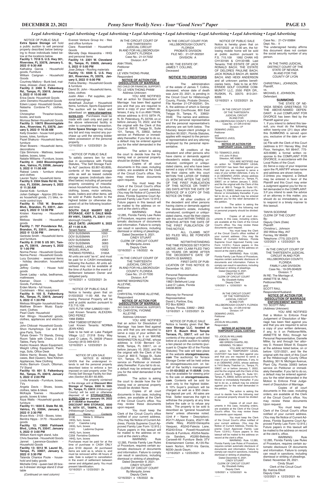### *Legal Advertising • Legal Advertising • Legal Advertising • Legal Advertising • Legal Advertising • Legal Advertising • Legal Advertising • Legal Advertising*

IN THE CIRCUIT COURT OF THE THIRTEENTH JUDICIAL CIRCUIT IN AND FOR HILLSBOROUGH COUNTY, FLORIDA Case No.: 21-DR-016192 Division: I-P DEMARIO JIVES, Petitioner and TEMARCO JIVES,

 $\overline{\phantom{a}}$ 

## Respondent **NOTICE OF ACTION FOR TEMPORARY LEGAL CUSTODY**

TO: TEMARCO JIVES 415 John R Blvd. Sikeston, MO 63801

You must keep the Clerk of the Circuit Court's office notified of your current address. (You may file Notice of Current Address, Florida Supreme Court Approved Family Law Form 12.915.) Future papers in this lawsuit will be mailed to the address on record at the clerk's office. WARNING: Rule 12.285.

YOU ARE NOTIFIED that an action for TEMPORARY LEGAL CUSTODY has been filed against you and that you are required to serve a copy of your written defenses, if any, to it on DEMARIO JIVES, whose address is 7410 Becky Thatcher Ln., Tampa, FL 33637, on or before January 7, 2022, and file the original with the Clerk of this Court at 800 E. Twiggs St., Suite 101, Tampa, FL 33602, before service on Petitioner or immediately thereafter. If you fail to do so, a default may be entered against you for the relief demanded in the petition.

 Deputy Clerk 12/9/2021 x 12/30/2021 4x  $\overline{\phantom{a}}$ 

**Petitioner** and JOCELIN WILLIAMS,

Respondent<br><u>NOTICE OF ACTION FOR</u><br><u>TEMPORARY LEGAL CUSTODY</u>

The action is asking the court to decide how the following real or personal property should be divided: None.

Copies of all court documents in this case, including orders, are available at the Clerk of the Circuit Court's office. You may review these documents upon request.

YOU ARE NOTIFIED that an action for TEMPORARY LEGAL CUSTODY has been filed against you and that you are required to serve a copy of your written defenses, if any, to it on DEMARIO JIVES, whose address is 7410 Becky Thatcher Ln., Tampa, FL 33637, on or before January 7, 2022, and file the original with the Clerk of this Court at 800 E. Twiggs St., Suite 101, Tampa, FL 33602, before service on Petitioner or immediately thereafter. If you fail to do so, a default may be entered against you for the relief demanded in the petition.

Florida Family Law Rules of Procedure, requires certain automatic disclosure of documents and information. Failure to comply can result in sanctions, including dismissal or striking of pleadings. Dated December 6, 2021. CINDY STUART

 CLERK OF CIRCUIT COURT By: Elizabeth Kelley

IN THE CIRCUIT COURT OF THE THIRTEENTH JUDICIAL CIRCUIT IN AND FOR HILLSBOROUGH COUNTY, FLORIDA Case No.: 21-DR-016192 Division: I-P DEMARIO JIVES,

TO: JOCELIN WILLIAMS #589478 / 10A63 480 GREEN CHAPEL RD. HENNING, TN 38041

YOU ARE NOTIFIED that a Motion to Enforce Final Judgement of Dissolution of Marriage has been filed against you and that you are required to serve a copy of your written defenses, if any, to it on Petitioner/Wife, ANNETTE M. RAU, through her Personal Representative, Danielle Miller, by and through her attorney D. Howard Stitzel III, Esquire at the address listed below, on or before 12/31/2021, and file the original with the clerk of this Court at the Hillsborough County Office Building, 301 N. Michigan Avenue, Plant City, Florida 33563 before service on Petitioner or immedi-

The action is asking the court to decide how the following real or personal property should be divided: None.

Copies of all court documents in this case, including orders, are available at the Clerk of the Circuit Court's office. You may review these documents upon request.

ately thereafter. If you fail to do so, a default may be entered againstyou for the relief demanded in the Motion to Enforce Final Judgement of Dissolution of Marriage.

You must keep the Clerk of the Circuit Court's office notified of your current address. (You may file Notice of Current Address, Florida Supreme Court Approved Family Law Form 12.915.) Future papers in this lawsuit will be mailed to the address on record at the clerk's office. WARNING: Rule 12.285,

WARNING: Rule 12.285, Florida Family Law Rules of Procedure, requires certain automatic disclosure Of documents and information. Failure to comply can result in sanctions; including dismissal or strildng of pleadings. Dated: November 29, 2021.

Florida Family Law Rules of Procedure, requires certain automatic disclosure of documents and information. Failure to comply can result in sanctions, including dismissal or striking of pleadings. Dated December 6, 2021.

NOTICE OF LIEN SALE  $\overline{\phantom{a}}$ 

> CINDY STUART CLERK OF CIRCUIT COURT By: Elizabeth Kelley Deputy Clerk 12/9/2021 x 12/30/2021 4x

 $\overline{\phantom{a}}$ 

Case No.: 21-CV-00884 Dept. No.: II The undersigned hereby affirms this document does not contain the social security number of any person.

IN THE THIRD JUDICIAL DISTRICT COURT OF THE STATE OF NEVADA IN AND FOR THE COUNTY OF LYON

CHRISTINA L. JOHNSON, Plaintiff,

vs. MICHAEL E. JOHNSON, Defendant.

### **SUMMONS**

The property contained in the storage unit at **Discount Mini Storage of Tampa, 6500 N. 56th St., Tampa, FL 33610** (Hillsborough County) will be sold or otherwise disposed of at **STORAGETREA-SURES.COM on January 04, 2022 at 11:00AM or thereafter**: **DISCOUNT MINI STORAGE, 6500 N. 56TH ST., TAMPA, FL. 33610**  (Hillsborough County)<br>Unit# Name Unit# Name Contents<br>B138 Nikita S. Williams Nikita S. Williams HHG, furn, boxes<br>B157 Caeisha l Caeisha Long HHG, furn, boxes<br>C101 Ladon Ladonna Dupree HHG, furn, boxes C258 Ferristine Goldwire HHG, furn, boxes Purchases must be paid for at the time of purchase in CASH ONLY plus \$100 deposit. All purchased items are sold as is, where is, and must be removed within 48 hours of sale. Sale is subject to cancellation in the event of settlement between owner and obligated party. You must present Identification. 12/16/2021 x 12/23/2021 2x

 $\overline{\phantom{a}}$ 

THE STATE OF NE-VADA SENDS GREETINGS TO THE ABOVE-NAMED DEFEN-DANT: A civil COMPLAINT FOR DIVORCE has been filed by the Plaintiff against you:

(NO CHILD OR FINANCIAL SUPPORT) TO: LE VIEN THONG PHAM Address Unknown

> 1. If you intend to defend this lawsuit, you must do the following within twenty-one (21) days after this SUMMONS is served upon you, exclusive of the date of service: (a) File with the Clerk of this Court

> (address is 911 Harvey Way, 2nd Floor, Yerington, NV 89447, 775- 423-6088) a formal written response to the COMPLAINT FOR DIVORCE, in accordance with the Local Rules of the Court. (b) Serve a copy of your response upon the PLAINTIFF whose name and address are shown below. 2.Unless you respond, a Default may be entered in favor of the Plaintiff and this Court may enter a Judgment against you for the relief demanded in the COMPLAINT. 3.If you intend to seek the advice of an attorney in this matter, you should do so immediately, so as to respond in a timely manner to

this lawsuit.

TANYA SCEIRINE CLERK OF THE COURT

By:

Deputy Clerk (Date)

Plaintiff:

 $\overline{\phantom{a}}$ 

Christina L. Johnson 350 Willow Way, #47 Fernley, NV 89408 Telephone: (775) 223-2375 12/2/2021 x 12/23/2021 4x

IN THE CIRCUIT COURT OF THE THIRTEENTH JUDICIAL CIRCUIT IN AND FOR HILLSBOROUGH COUNTY, FLORIDA FAMILY LAW DIVISION Case No.: 19-DR-004629 Division: T IN RE: The Marriage of, ANNETTE M. RAU, Petitioner/Wife and SCOTT RAU, Respondent/Husband.

**NOTICE OF ACTION FOR DISSOLUTION OF MARRIAGE ENFORCEMENT MATTER**

TO: SCOTT RAU (Address Unknown)

You must keep the Clerk of the Circuit Court's office notified of your current address. (You may file Notice of Current Address, Florida Supreme Court Approved Family Law Form 12.915.) Future papers in this lawsuit will be mailed to the address on record at the clerk's office.

Copies of all court documents in this case, including orders, are available at the Clerk of the Circuit Court's office. You may review these documents Upon request.

You must keep the Clerk of the Circuit Court's office notified of your current address. (You may file Notice of Current Address, Florida Supreme Court Approved Family Law Form 12.915.) Future papers in this lawsuit will be mailed to the address on record at the clerk's, office.

12/16/2021 x 12/23/2021 2x  $\overline{\phantom{a}}$ 

> Cindy Stuart Clerk of the Circuit Court By: Katrina Elliott Deputy Clerk 12/2/2021 x 12/23/2021 4x

 $\overline{\phantom{a}}$ 

NOTICE IS HEREBY GIVEN that the undersigned intends to sell the personal property described below to enforce a lien imposed on said property under The Florida Self Storage Facility Act Stat-utes (Section 83.801-83.809).

IN THE CIRCUIT COURT OF THE THIRTEENTH JUDICIAL CIRCUIT IN AND FOR HILLSBOROUGH COUNTY, FLORIDA Case No.: 21-017032 Division: A-P ANH TRAN, Petitioner and LE VIEN THONG PHAM,

#### Respondent **NOTICE OF ACTION FOR DISSOLUTION OF MARRIAGE**

YOU ARE NOTIFIED that an action for Dissolution of Marriage has been filed against you and that you are required to serve a copy of your written defenses, if any, to it on ANH TRAN, whose address is 6115 59TH PL N, St. Petersburg, FL 33709, on or before January 10, 2022, and file the original with the Clerk of this Court at 800 E. Twiggs St., Suite 101, Tampa, FL 33602, before service on Petitioner or immediately thereafter. If you fail to do so, a default may be entered against you for the relief demanded in the petition.

The action is asking the court to decide how the following real or personal property should be divided: None.

Copies of all court documents in this case, including orders, are available at the Clerk of the Circuit Court's office. You may review these documents upon request.

You must keep the Clerk of the Circuit Court's office notified of your current address. (You may file Notice of Current Address, Florida Supreme Court Ap-proved Family Law Form 12.915.) Future papers in this lawsuit will be mailed to the address on re-

cord at the clerk's office.<br>WARNING: WARNING: Rule 12.285, Florida Family Law Rules of Procedure, requires certain automatic disclosure of documents and information. Failure to comply can result in sanctions, including dismissal or striking of pleadings.

THIS NOTICE.<br>ALL CLAIMS NOT SO FILED WILL BE FOREVER BARRED.

Attorney for Personal Representative: David L Partlow, Esq. PO Box 82963 Tampa, Florida, 33682 – 2963 12/16/2021 x 12/23/2021 2x  $\overline{\phantom{a}}$ 

 Dated December 9, 2021. CINDY STUART CLERK OF CIRCUIT COURT By:Marquita Jones Deputy Clerk 12/16/2021 x 1/6/2022 4x

 $\overline{\phantom{a}}$ 

IN THE CIRCUIT COURT OF THE THIRTEENTH JUDICIAL CIRCUIT IN AND FOR HILLSBOROUGH COUNTY, FLORIDA Case No.: 21-017030 Division: A-P

WAYNE WASHINGTON ALLEYNE, Petitioner

and CHRYSTAL YVONNE ALLEYNE,

Respondent **NOTICE OF ACTION FOR DISSOLUTION OF MARRIAGE**

(NO CHILD OR FINANCIAL SUPPORT) TO: CHRYSTAL YVONNE ALLEYNE

 Address Unknown YOU ARE NOTIFIED that an action for Dissolution of Marriage has been filed against you and that you are required to serve a copy of your written defenses, if any, to it on WAYNE WASHINGTON ALLEYNE, whose address is 5130 Bernard Cir. #238, Tampa, FL 33617, on or before January 10, 2022, and file the original with the Clerk of this Court at 800 E. Twiggs St., Suite 101, Tampa, FL 33602, before service on Petitioner or immediately thereafter. If you fail to do so, a default may be entered against

you for the relief demanded in the petition.

The action is asking the court to decide how the following real or personal property should be divided: None.

Copies of all court documents in this case, including orders, are available at the Clerk of the Circuit Court's office. You may review these documents upon request.

WARNING: Rule 12.285, Florida Family Law Rules of Procedure, requires certain automatic disclosure of documents and information. Failure to comply can result in sanctions, including dismissal or striking of pleadings. Dated December 9, 2021. CINDY STUART CLERK OF CIRCUIT COURT By:Marquita Jones Deputy Clerk 12/16/2021 x 1/6/2022 4x

 $\overline{\phantom{a}}$ 

 $\overline{\phantom{a}}$ 

NOTICE OF PUBLIC SALE

To satisfy owners lien for rent due in accordance with Florida Statutes, "The Self Storage Facility Act" (sections 83.801-83.809), contents of the leased storage units as well as leased outside storage spaces (individuals identified below) including all personal property consisting of miscellaneous household items, furniture, clothing, boxes, motor vehicles, boats, trailers and other items, will be sold at Public Auction to the highest bidder (or otherwise disposed of) at the following location and time.

**SOUTH DALE MABRY SELF STORAGE, 4307 S. DALE MAB-RY HWY., TAMPA, FL 33611** (Hillsborough County) **SALE DATE: JANUARY 6, 2022** 

| AT 11:00 A.M.                        |       |
|--------------------------------------|-------|
| <b>Tenant Name</b>                   | Unit# |
| DOV SUSSMAN                          | 1050  |
| <b>DOV SUSSMAN</b>                   | 2117  |
| <b>DOV SUSSMAN</b>                   | 2061  |
| <b>DOV SUSSMAN</b>                   | 3083  |
| NATHANIFI I AND                      | 1072  |
| MIGUEL AYALA                         | 1058D |
| THOMAS FERRELL                       | 3160A |
| All units are sold "as-is", and must |       |
| be paid for in CASH immediately      |       |
| following the Auction. All units ad- |       |
| vertised may not be available at     |       |
| the time of Auction in the event of  |       |
| Settlement between Owner and         |       |
| obligated party.                     |       |
| 12/16/2021 x 12/23/2021 2x           |       |
|                                      |       |

Everest Venture Group Inc - files and office furniture Ciara Rosenblatt - Household Marvelly Deja Alexandria - HHG and personal items **Facility 14: 2301 W. Cleveland St., Tampa, FL 33609, January 5, 2022 @ 5:00 PM** Jose Zelaya - Roofing materials **Facility 15: 6506 S. U.S. Hwy 301, Riverview, FL 33578, January 5, 2022 @ 6:00 PM** Felina Stanley - Household Goods David St. John - Household items, totes, clothes

Justin Allen - Pet supplies, personal belongings Abdelhadi Zouhari - Household Items, furniture, Sports Equipment The auction will be listed and advertised on **www.storagetrea-**

**sures.com**. Purchases must be made with cash only and paid at the above referenced facility in order to complete the transaction. **Extra Space Storage** may refuse any bid and may rescind any purchase up until the winning bidder takes possession of the personal property.

Goods & furniture NOTICE OF PUBLIC SALE **Extra Space Storage** will hold a public auction to sell personal property described below belonging to those individuals listed below at the locations below. **Facility 1: 7018 S. U.S. Hwy 301, Riverview, FL 33578, January 5, 2022 @ 9:30 AM** Kathalina Garcia - Household goods, Furniture William Carignan - Household Goods Courtney Mallory - Bunk bed, mattress, dresser, chest, shoes **Facility 2: 2460 S. Falkenburg Rd., Tampa, FL 33619, January 5, 2022 @ 10:00 AM** Erica Davis- Household Goods John Demetro-Household Goods Edwin Lopez- Household Goods Natasha Cordone-TV, clothes, boxes.<br>Christopher Thrasher-boxes, books, and tools Morissa Belser-Household Goods **Facility 3: 10670 Bloomingdale Ave., Riverview, FL 33578, Jan-uary 5, 2022 @ 10:30 AM**

Kelly Dowden - house hold goods, boxes, totes, furniture Pazel Shakura - Household items,

furniture Shari Bowers - Household items,

decorations Cijia Simmons - Mattress, beanie

babies, boxes, totes

Natalie Williams - Furniture, boxes **Facility 4: 2402 Bloomingdale Ave., Valrico, FL 33596, January 5, 2022 @ 11:00 AM**

Rakeal Lewis - furniture shoes and clothes

Lauren Taylor - household items **Facility 5: 2504 State Rd 60, Val-rico, FL 33594, January 5, 2022 @ 11:30 AM**

Daniel Kolb - furniture

Julian Gallager - Approx (20) boxes household goods, (1) bike, re-

mote control toys **Facility 6: 1755 W. Brandon Blvd., Brandon, FL 33511, Jan-uary 5, 2022 @ 12:00 PM**

Kristen Kearney - Household

goods Melissa Venditti - Household goods **Facility 7: 707 Providence Rd.,** 

**Brandon, FL 33511, January 5, 2022 @ 12:30 PM**

Gerlinde Smith - Household items

and furniture. **Facility 8: 2190 S US 301, Tampa, FL 33619, January 5, 2022 @ 1:00 PM**

Norma Perez - Household Goods Norma Perez - Household Goods Lucy Gonzalez - seasonal items

- holiday decoration. household goods Jeffrey Conley - House hold

goods Derek Laday - sofas, bedframes,

mattresses Keenan Dixon - Household

Goods, Furniture,

Erden Morris - full house, Coolstream - Misc. equipment

**Facility 9: 105 S. Falkenburg Rd., Tampa, FL 33619, January 5, 2022 @ 1:30 PM**

Melissa Wingate- household items Matthew Brown- Music Equipment, Clothes

Pearl Clark- Household

Kari Wingo- Household goods, clothes, appliances and electronics

John Chilcoat- Household Goods Shon Humphreys- Car and Engine Parts, Tools

Tyhais Green- TV Stands, Dining Room Table with Chairs, 2 End Tables, Party Tents

Kedric Howard- Music Equipment, Weight Lifting Equipment, Paint-

ings, Sofa, Office Desk Debra Harris- Boxes, Bags, Suitcases, Bed (Queen), New Kitchen

Appliances, New Clothing Andru Barnum- Couch, Ottoman, TV Stand

**Facility 10: 601 S. Falkenburg Rd., Tampa, FL 33619, January 5, 2022 @ 2:00 PM**

Linda Alvarado - Furniture, boxes, TVs

Angela Davis - Shoes, boxes, clothes, table & bikes McKayla Townes - Household goods, boxes & totes Azya Watts - Household goods & furniture **Facility 11: 1830 E. State Rd. 60,** 

#### **Valrico, FL 33594, January 5, 2022 @ 2:30 PM**

Bruce Alvis - 3103 - Boxes, totes Benitra Hipps - 3170 - Household goods

#### **Facility 12: 13665 Fishhawk Blvd., Lithia, FL 33547, January 5, 2022 @ 3:00 PM**

William Kent-night stand, tubs Chris Swantek - Household Goods Jannet Lawrence-Goodwin - Household Goods

## **Facility 13: 5012 W. Laurel St., Tampa, FL 33607, January 5, 2022 @ 3:30 PM**

Talanda Chanice Poole - household and baby goods Michelle Ortiz - queen bed 20 boxes 3-dresser storage stand 2 chair table

*(Continued on next column)*

 NOTICE OF PUBLIC SALE Notice is hereby given that on 01/03/2022 11:00 AM, the following Personal Property will be sold at public auction pursuant to F.S.715.109: 1970 FLTW VIN# 5J9M2S11691 Last Known Tenants: ALEXZAN-DRO PEREZ 1968 EMBA

VIN# 7G8E6012F3N3187 Last Known Tenants: NORMA JEAN KING Sale to be held at: Lake Padgett Village LLC 21318 Entry Way Land O Lakes, FL 34639 (Pasco County) (813) 949-6313 12/16/2021 x 12/23/2021 2x

IN THE CIRCUIT COURT FOR HILLSBOROUGH COUNTY, FLORIDA PROBATE DIVISION FILE NO.: 21-CP-002591 DIVISION: A IN RE: THE ESTATE OF:

JAMES T. COLLINS, Deceased

### **NOTICE TO CREDITORS**

The administration of the estate of James T. Collins, deceased, whose date of death was June 23, 2021, is pending in the Circuit Court for Hillsborough County, Florida, Probate Division, File Number 21-CP-002591, Div. A, the address of which is George Edgecomb Courthouse, 800 East Twiggs St., Tampa, FL 33602- 3549. The names and addresses of the personal representative and the personal representative's attorney are set forth below. The fiduciary lawyer-client privilege in Section 90.5021, Florida Statutes, applies with respect to the personal representative and any attorney employed by the personal representative.

All creditors of the decedent and other persons who have claims or demands against decedent's estate, including unmatured, contingent or unliquidated claims, and who have been served a copy of this notice, must their claims with this court WITHIN THE LATER OF THREE (3) MONTHS AFTER THE DATE THE FIRST PUBLICATION OF THIS NOTICE OR THIRTY (30) DAYS AFTER THE DATE OF SERVICE OF A COPY OF THIS NOTICE ON THEM. All other creditors of

the decedent and other persons having claims or demands against the decedent's estate, including unmatured, contingent or unliquidated claims, must file their claims with this court WITHIN THREE (3) MONTHS AFTER THE DATE OF THE FIRST PUBLICATION OF

NOTWITHSTANDING THE TIME PERIODS SET FORTH ABOVE, ANY CLAIM FILED TWO (2) YEARS OR MORE AFTER THE DECEDENT'S DATE OF DEATH IS BARRED.

FIRST DATE OF PUB-LICATION OF THIS NOTICE IS: December 16, 2021.

> Personal Representative: Gregory Collins 19821 Bellehurst Loop Land O' Lakes, Florida 34638-8039

 NOTICE OF PUBLIC SALE Notice is hereby given that on 01/07/2022 at 10:30 am, the following mobile home will be sold at public auction pursuant F.S. 715.109 1992 CHAN HS CH13318A & CH13318B. Last Tenants: THE ESTATE OF JACK RONALD BACH; THE ESTATE OF DELORES PAULINE BACH; JACK RONALD BACH JR; MARK BACH; AND HEIDI ANDERSON and all unknown parties beneficiaries heirs. Sale to be at RIV-ERSIDE GOLF COURSE COM-MUNITY LLC, 2550 PIER DR., RUSKIN, FL 33570. 813-241- 8269. 12/16/2021 x 12/23/2021 2x

NOTICE OF PUBLIC SALE Notice is hereby given that **Ter-race Storage LLC. located at 5311 E. Busch Blvd. Temple Terrace, FL. 33617**, will sell the contents of the storage units listed below at a public auction to satisfy a lien placed on the contents (pursuant to Chapter 83 of the Florida Statutes) The sale will take place at the website **storagetreasures. com** The auction(s) for Terrace Storage Center will be held online at storagetreasures.com on behalf of the facility's management on **01-03-2022 at 11:00AM**. Units may be available for viewing prior to the sale on **storagetreasures. com**. Contents will be sold for cash only to the highest bidder. A 10% buyer's premium will be charged as well as a \$50 cleaning deposit per unit. All sales are final. Seller reserves the right to withdraw the property at any time before the sale or to refuse any bids. The property to be sold is described as "general household items" unless otherwise noted. (Unit  $# -$  Name  $-$  Description) #G171-Allyson Evans, #G211-Michelle Riley, #G222-Danaysha Vasquez, #G242-Falecia Lane, #G243-Erica Powell-Household Goods & Furniture, #G254-Nastacia Sanders, #G260-Belinda Carswell-All Furniture Beds 3TV Entertainment Center, #L135-Rakeem Norton, M191-Iris Garcia, M230-Jacob Daum. 12/16/2021 x 12/23/2021 2x